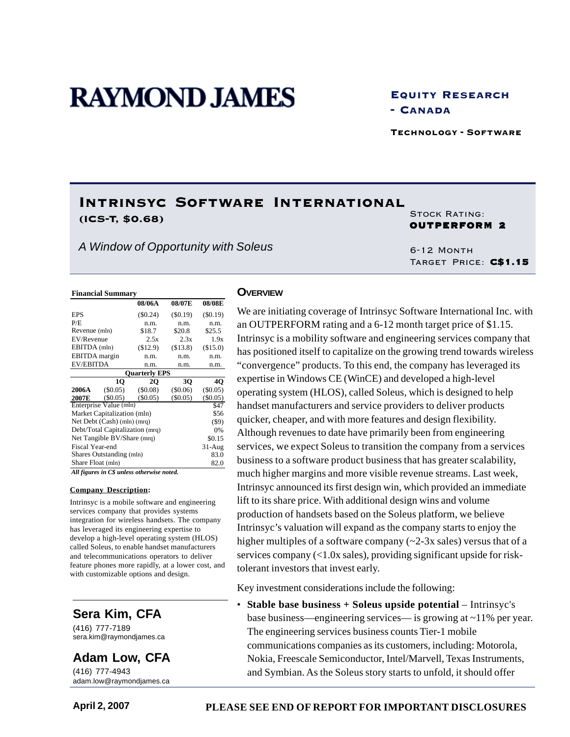# **RAYMOND JAMES**

Equity Research - Canada

Technology - Software

# Intrinsyc Software International (ICS-T, \$0.68) STOCK RATING:

*A Window of Opportunity with Soleus*

OUTPERFORM 2

6-12 Month Target Price: C\$1.15

#### **Financial Summary**

|                      |                                 | 08/06A                                   | 08/07E     | 08/08E     |
|----------------------|---------------------------------|------------------------------------------|------------|------------|
| <b>EPS</b>           |                                 | $(\$0.24)$                               | (S0.19)    | $(\$0.19)$ |
| P/E                  |                                 | n.m.                                     | n.m.       | n.m.       |
| Revenue (mln)        |                                 | \$18.7                                   | \$20.8     | \$25.5     |
| EV/Revenue           |                                 | 2.5x                                     | 2.3x       | 1.9x       |
| EBITDA (mln)         |                                 | (\$12.9)                                 | (S13.8)    | (\$15.0)   |
| <b>EBITDA</b> margin |                                 | n.m.                                     | n.m.       | n.m.       |
| <b>EV/EBITDA</b>     |                                 | n.m.                                     | n.m.       | n.m.       |
|                      |                                 | <b>Ouarterly EPS</b>                     |            |            |
|                      | 10                              | 2Q                                       | 3Q         | 40         |
| 2006A                | $(\$0.05)$                      | (S0.08)                                  | (\$0.06)   | (\$0.05)   |
| 2007E                | (S0.05)                         | (S0.05)                                  | $(\$0.05)$ | $(\$0.05)$ |
|                      | Enterprise Value (mln)          |                                          |            | \$47       |
|                      | Market Capitalization (mln)     |                                          |            | \$56       |
|                      | Net Debt (Cash) (mln) (mrq)     |                                          |            | $($ \$9)   |
|                      | Debt/Total Capitalization (mrq) |                                          |            | 0%         |
|                      | Net Tangible BV/Share (mrq)     |                                          |            | \$0.15     |
| Fiscal Year-end      |                                 |                                          |            | $31-Aug$   |
|                      | Shares Outstanding (mln)        |                                          |            | 83.0       |
| Share Float (mln)    |                                 |                                          |            | 82.0       |
|                      |                                 | All Course to Chamber of courtes and the |            |            |

*All figures in C\$ unless otherwise noted.*

#### **Company Description:**

Intrinsyc is a mobile software and engineering services company that provides systems integration for wireless handsets. The company has leveraged its engineering expertise to develop a high-level operating system (HLOS) called Soleus, to enable handset manufacturers and telecommunications operators to deliver feature phones more rapidly, at a lower cost, and with customizable options and design.

## **Sera Kim, CFA**

(416) 777-7189 sera.kim@raymondjames.ca

**Adam Low, CFA**

(416) 777-4943 adam.low@raymondjames.ca

#### **OVERVIEW**

We are initiating coverage of Intrinsyc Software International Inc. with an OUTPERFORM rating and a 6-12 month target price of \$1.15. Intrinsyc is a mobility software and engineering services company that has positioned itself to capitalize on the growing trend towards wireless "convergence" products. To this end, the company has leveraged its expertise in Windows CE (WinCE) and developed a high-level operating system (HLOS), called Soleus, which is designed to help handset manufacturers and service providers to deliver products quicker, cheaper, and with more features and design flexibility. Although revenues to date have primarily been from engineering services, we expect Soleus to transition the company from a services business to a software product business that has greater scalability, much higher margins and more visible revenue streams. Last week, Intrinsyc announced its first design win, which provided an immediate lift to its share price. With additional design wins and volume production of handsets based on the Soleus platform, we believe Intrinsyc's valuation will expand as the company starts to enjoy the higher multiples of a software company  $(\sim 2-3x)$  sales) versus that of a services company (<1.0x sales), providing significant upside for risktolerant investors that invest early.

Key investment considerations include the following:

• **Stable base business + Soleus upside potential** – Intrinsyc's base business—engineering services— is growing at ~11% per year. The engineering services business counts Tier-1 mobile communications companies as its customers, including: Motorola, Nokia, Freescale Semiconductor, Intel/Marvell, Texas Instruments, and Symbian. As the Soleus story starts to unfold, it should offer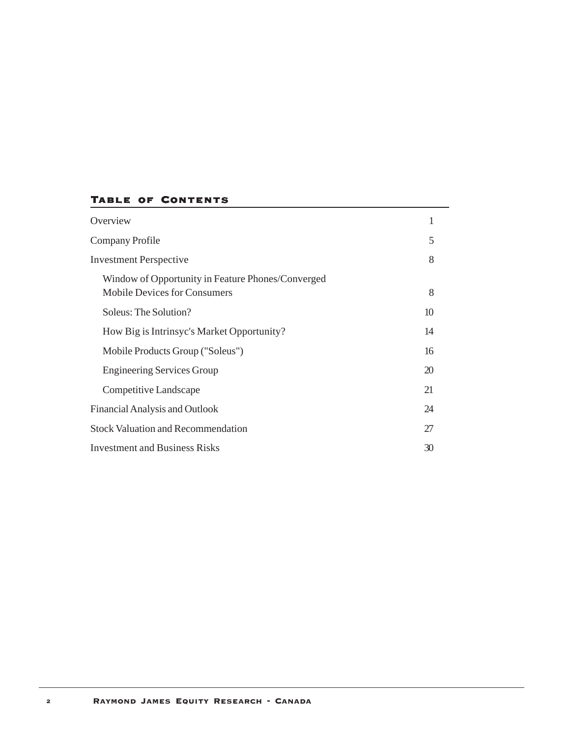## Table of Contents

| Overview                                                                                 | 1  |
|------------------------------------------------------------------------------------------|----|
| Company Profile                                                                          | 5  |
| <b>Investment Perspective</b>                                                            | 8  |
| Window of Opportunity in Feature Phones/Converged<br><b>Mobile Devices for Consumers</b> | 8  |
| Soleus: The Solution?                                                                    | 10 |
| How Big is Intrinsyc's Market Opportunity?                                               | 14 |
| Mobile Products Group ("Soleus")                                                         | 16 |
| <b>Engineering Services Group</b>                                                        | 20 |
| Competitive Landscape                                                                    | 21 |
| Financial Analysis and Outlook                                                           | 24 |
| <b>Stock Valuation and Recommendation</b>                                                | 27 |
| <b>Investment and Business Risks</b>                                                     | 30 |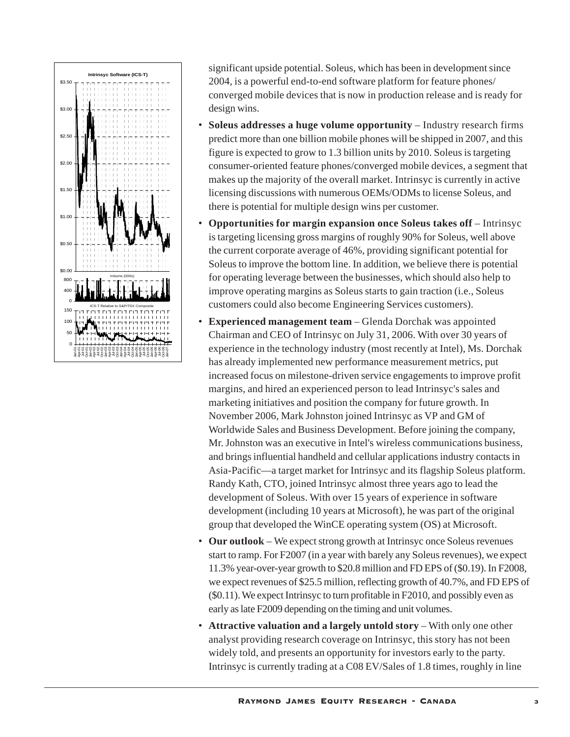

significant upside potential. Soleus, which has been in development since 2004, is a powerful end-to-end software platform for feature phones/ converged mobile devices that is now in production release and is ready for design wins.

- **Soleus addresses a huge volume opportunity** Industry research firms predict more than one billion mobile phones will be shipped in 2007, and this figure is expected to grow to 1.3 billion units by 2010. Soleus is targeting consumer-oriented feature phones/converged mobile devices, a segment that makes up the majority of the overall market. Intrinsyc is currently in active licensing discussions with numerous OEMs/ODMs to license Soleus, and there is potential for multiple design wins per customer.
- **Opportunities for margin expansion once Soleus takes off** Intrinsyc is targeting licensing gross margins of roughly 90% for Soleus, well above the current corporate average of 46%, providing significant potential for Soleus to improve the bottom line. In addition, we believe there is potential for operating leverage between the businesses, which should also help to improve operating margins as Soleus starts to gain traction (i.e., Soleus customers could also become Engineering Services customers).
- **Experienced management team** Glenda Dorchak was appointed Chairman and CEO of Intrinsyc on July 31, 2006. With over 30 years of experience in the technology industry (most recently at Intel), Ms. Dorchak has already implemented new performance measurement metrics, put increased focus on milestone-driven service engagements to improve profit margins, and hired an experienced person to lead Intrinsyc's sales and marketing initiatives and position the company for future growth. In November 2006, Mark Johnston joined Intrinsyc as VP and GM of Worldwide Sales and Business Development. Before joining the company, Mr. Johnston was an executive in Intel's wireless communications business, and brings influential handheld and cellular applications industry contacts in Asia-Pacific—a target market for Intrinsyc and its flagship Soleus platform. Randy Kath, CTO, joined Intrinsyc almost three years ago to lead the development of Soleus. With over 15 years of experience in software development (including 10 years at Microsoft), he was part of the original group that developed the WinCE operating system (OS) at Microsoft.
- **Our outlook** We expect strong growth at Intrinsyc once Soleus revenues start to ramp. For F2007 (in a year with barely any Soleus revenues), we expect 11.3% year-over-year growth to \$20.8 million and FD EPS of (\$0.19). In F2008, we expect revenues of \$25.5 million, reflecting growth of 40.7%, and FD EPS of (\$0.11). We expect Intrinsyc to turn profitable in F2010, and possibly even as early as late F2009 depending on the timing and unit volumes.
- **Attractive valuation and a largely untold story** With only one other analyst providing research coverage on Intrinsyc, this story has not been widely told, and presents an opportunity for investors early to the party. Intrinsyc is currently trading at a C08 EV/Sales of 1.8 times, roughly in line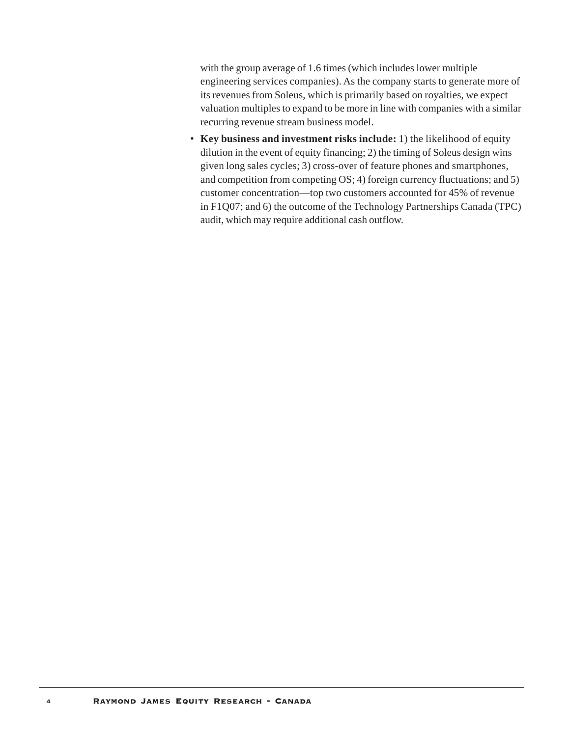with the group average of 1.6 times (which includes lower multiple engineering services companies). As the company starts to generate more of its revenues from Soleus, which is primarily based on royalties, we expect valuation multiples to expand to be more in line with companies with a similar recurring revenue stream business model.

• **Key business and investment risks include:** 1) the likelihood of equity dilution in the event of equity financing; 2) the timing of Soleus design wins given long sales cycles; 3) cross-over of feature phones and smartphones, and competition from competing OS; 4) foreign currency fluctuations; and 5) customer concentration—top two customers accounted for 45% of revenue in F1Q07; and 6) the outcome of the Technology Partnerships Canada (TPC) audit, which may require additional cash outflow.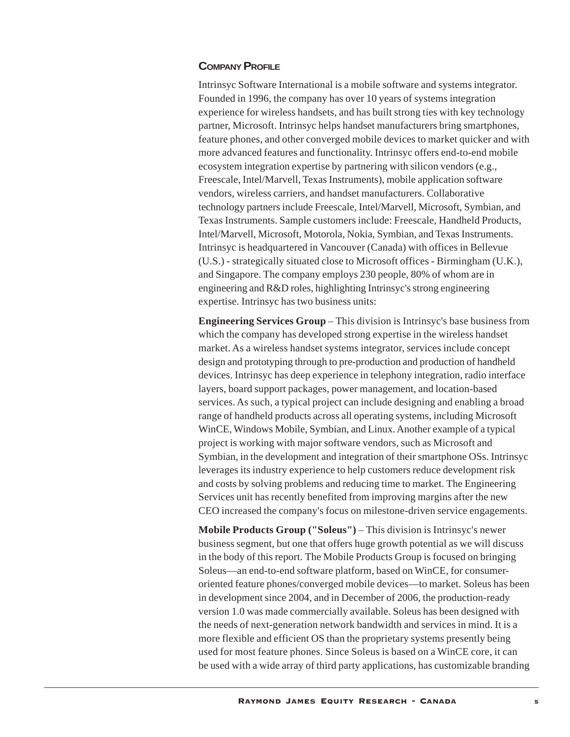## **COMPANY PROFILE**

Intrinsyc Software International is a mobile software and systems integrator. Founded in 1996, the company has over 10 years of systems integration experience for wireless handsets, and has built strong ties with key technology partner, Microsoft. Intrinsyc helps handset manufacturers bring smartphones, feature phones, and other converged mobile devices to market quicker and with more advanced features and functionality. Intrinsyc offers end-to-end mobile ecosystem integration expertise by partnering with silicon vendors (e.g., Freescale, Intel/Marvell, Texas Instruments), mobile application software vendors, wireless carriers, and handset manufacturers. Collaborative technology partners include Freescale, Intel/Marvell, Microsoft, Symbian, and Texas Instruments. Sample customers include: Freescale, Handheld Products, Intel/Marvell, Microsoft, Motorola, Nokia, Symbian, and Texas Instruments. Intrinsyc is headquartered in Vancouver (Canada) with offices in Bellevue (U.S.) - strategically situated close to Microsoft offices - Birmingham (U.K.), and Singapore. The company employs 230 people, 80% of whom are in engineering and R&D roles, highlighting Intrinsyc's strong engineering expertise. Intrinsyc has two business units:

**Engineering Services Group** – This division is Intrinsyc's base business from which the company has developed strong expertise in the wireless handset market. As a wireless handset systems integrator, services include concept design and prototyping through to pre-production and production of handheld devices. Intrinsyc has deep experience in telephony integration, radio interface layers, board support packages, power management, and location-based services. As such, a typical project can include designing and enabling a broad range of handheld products across all operating systems, including Microsoft WinCE, Windows Mobile, Symbian, and Linux. Another example of a typical project is working with major software vendors, such as Microsoft and Symbian, in the development and integration of their smartphone OSs. Intrinsyc leverages its industry experience to help customers reduce development risk and costs by solving problems and reducing time to market. The Engineering Services unit has recently benefited from improving margins after the new CEO increased the company's focus on milestone-driven service engagements.

**Mobile Products Group ("Soleus")** – This division is Intrinsyc's newer business segment, but one that offers huge growth potential as we will discuss in the body of this report. The Mobile Products Group is focused on bringing Soleus—an end-to-end software platform, based on WinCE, for consumeroriented feature phones/converged mobile devices—to market. Soleus has been in development since 2004, and in December of 2006, the production-ready version 1.0 was made commercially available. Soleus has been designed with the needs of next-generation network bandwidth and services in mind. It is a more flexible and efficient OS than the proprietary systems presently being used for most feature phones. Since Soleus is based on a WinCE core, it can be used with a wide array of third party applications, has customizable branding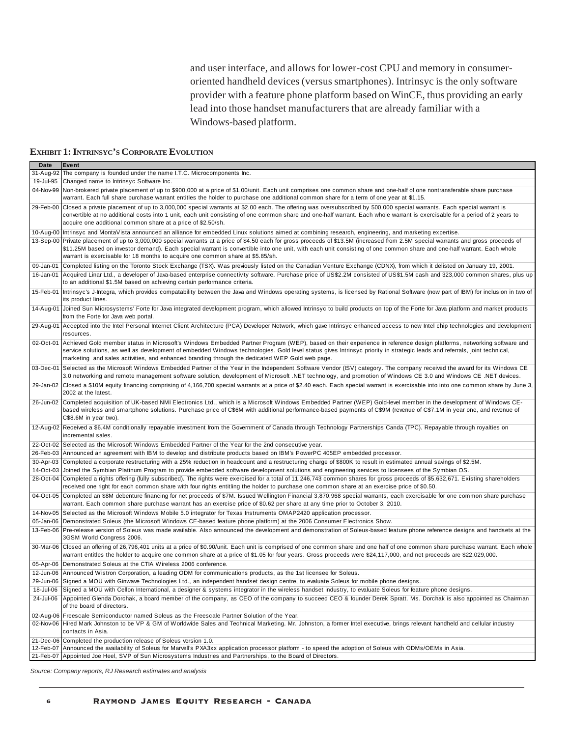and user interface, and allows for lower-cost CPU and memory in consumeroriented handheld devices (versus smartphones). Intrinsyc is the only software provider with a feature phone platform based on WinCE, thus providing an early lead into those handset manufacturers that are already familiar with a Windows-based platform.

#### **EXHIBIT 1: INTRINSYC'S CORPORATE EVOLUTION**

| Date        | Event                                                                                                                                                                                                                                                                                                                                                                                                                                              |
|-------------|----------------------------------------------------------------------------------------------------------------------------------------------------------------------------------------------------------------------------------------------------------------------------------------------------------------------------------------------------------------------------------------------------------------------------------------------------|
| $31-Aug-92$ | The company is founded under the name I.T.C. Microcomponents Inc.                                                                                                                                                                                                                                                                                                                                                                                  |
| 19-Jul-95   | Changed name to Intrinsyc Software Inc.                                                                                                                                                                                                                                                                                                                                                                                                            |
| 04-Nov-99   | Non-brokered private placement of up to \$900,000 at a price of \$1.00/unit. Each unit comprises one common share and one-half of one nontransferable share purchase<br>warrant. Each full share purchase warrant entitles the holder to purchase one additional common share for a term of one year at \$1.15.                                                                                                                                    |
|             | 29-Feb-00 Closed a private placement of up to 3,000,000 special warrants at \$2.00 each. The offering was oversubscribed by 500,000 special warrants. Each special warrant is<br>convertible at no additional costs into 1 unit, each unit consisting of one common share and one-half warrant. Each whole warrant is exercisable for a period of 2 years to<br>acquire one additional common share at a price of \$2.50/sh.                       |
|             | 10-Aug-00 Intrinsyc and MontaVista announced an alliance for embedded Linux solutions aimed at combining research, engineering, and marketing expertise.                                                                                                                                                                                                                                                                                           |
|             | 13-Sep-00 Private placement of up to 3,000,000 special warrants at a price of \$4.50 each for gross proceeds of \$13.5M (increased from 2.5M special warrants and gross proceeds of<br>\$11.25M based on investor demand). Each special warrant is convertible into one unit, with each unit consisting of one common share and one-half warrant. Each whole<br>warrant is exercisable for 18 months to acquire one common share at \$5.85/sh.     |
| 09-Jan-01   | Completed listing on the Toronto Stock Exchange (TSX). Was previously listed on the Canadian Venture Exchange (CDNX), from which it delisted on January 19, 2001.                                                                                                                                                                                                                                                                                  |
| 16-Jan-01   | Acquired Linar Ltd., a developer of Java-based enterprise connectivity software. Purchase price of US\$2.2M consisted of US\$1.5M cash and 323,000 common shares, plus up<br>to an additional \$1.5M based on achieving certain performance criteria.                                                                                                                                                                                              |
| 15-Feb-01   | Intrinsyc's J-Integra, which provides compatability between the Java and Windows operating systems, is licensed by Rational Software (now part of IBM) for inclusion in two of<br>its product lines.                                                                                                                                                                                                                                               |
| 14-Aug-01   | Joined Sun Microsystems' Forte for Java integrated development program, which allowed Intrinsyc to build products on top of the Forte for Java platform and market products<br>from the Forte for Java web portal.                                                                                                                                                                                                                                 |
| 29-Aug-01   | Accepted into the Intel Personal Internet Client Architecture (PCA) Developer Network, which gave Intrinsyc enhanced access to new Intel chip technologies and development<br>resources.                                                                                                                                                                                                                                                           |
| 02-Oct-01   | Achieved Gold member status in Microsoft's Windows Embedded Partner Program (WEP), based on their experience in reference design platforms, networking software and<br>service solutions, as well as development of embedded Windows technologies. Gold level status gives Intrinsyc priority in strategic leads and referrals, joint technical,<br>marketing and sales activities, and enhanced branding through the dedicated WEP Gold web page. |
| 03-Dec-01   | Selected as the Microsoft Windows Embedded Partner of the Year in the Independent Software Vendor (ISV) category. The company received the award for its Windows CE<br>3.0 networking and remote management software solution, development of Microsoft .NET technology, and promotion of Windows CE 3.0 and Windows CE. NET devices.                                                                                                              |
| 29-Jan-02   | Closed a \$10M equity financing comprising of 4,166,700 special warrants at a price of \$2.40 each. Each special warrant is exercisable into into one common share by June 3,<br>2002 at the latest.                                                                                                                                                                                                                                               |
| 26-Jun-02   | Completed acquisition of UK-based NMI Electronics Ltd., which is a Microsoft Windows Embedded Partner (WEP) Gold-level member in the development of Windows CE-<br>based wireless and smartphone solutions. Purchase price of C\$6M with additional performance-based payments of C\$9M (revenue of C\$7.1M in year one, and revenue of<br>C\$8.6M in year two).                                                                                   |
|             | 12-Aug-02 Received a \$6.4M conditionally repayable investment from the Government of Canada through Technology Partnerships Canda (TPC). Repayable through royalties on<br>incremental sales.                                                                                                                                                                                                                                                     |
|             | 22-Oct-02 Selected as the Microsoft Windows Embedded Partner of the Year for the 2nd consecutive year.                                                                                                                                                                                                                                                                                                                                             |
|             | 26-Feb-03 Announced an agreement with IBM to develop and distribute products based on IBM's PowerPC 405EP embedded processor.                                                                                                                                                                                                                                                                                                                      |
| 30-Apr-03   | Completed a corporate restructuring with a 25% reduction in headcount and a restructuring charge of \$800K to result in estimated annual savings of \$2.5M.                                                                                                                                                                                                                                                                                        |
|             | 14-Oct-03 Joined the Symbian Platinum Program to provide embedded software development solutions and engineering services to licensees of the Symbian OS.                                                                                                                                                                                                                                                                                          |
|             | 28-Oct-04 Completed a rights offering (fully subscribed). The rights were exercised for a total of 11,246,743 common shares for gross proceeds of \$5,632,671. Existing shareholders<br>received one right for each common share with four rights entitling the holder to purchase one common share at an exercise price of \$0.50.                                                                                                                |
| 04-Oct-05   | Completed an \$8M debenture financing for net proceeds of \$7M. Issued Wellington Financial 3,870,968 special warrants, each exercisable for one common share purchase<br>warrant. Each common share purchase warrant has an exercise price of \$0.62 per share at any time prior to October 3, 2010.                                                                                                                                              |
| 14-Nov-05   | Selected as the Microsoft Windows Mobile 5.0 integrator for Texas Instruments OMAP2420 application processor.                                                                                                                                                                                                                                                                                                                                      |
| 05-Jan-06   | Demonstrated Soleus (the Microsoft Windows CE-based feature phone platform) at the 2006 Consumer Electronics Show.                                                                                                                                                                                                                                                                                                                                 |
|             | 13-Feb-06 Pre-release version of Soleus was made available. Also announced the development and demonstration of Soleus-based feature phone reference designs and handsets at the<br>3GSM World Congress 2006.                                                                                                                                                                                                                                      |
|             | 30-Mar-06 Closed an offering of 26,796,401 units at a price of \$0.90/unit. Each unit is comprised of one common share and one half of one common share purchase warrant. Each whole<br>warrant entitles the holder to acquire one common share at a price of \$1.05 for four years. Gross proceeds were \$24,117,000, and net proceeds are \$22,029,000.                                                                                          |
| 05-Apr-06   | Demonstrated Soleus at the CTIA Wireless 2006 conference.                                                                                                                                                                                                                                                                                                                                                                                          |
|             | 12-Jun-06 Announced Wistron Corporation, a leading ODM for communications products, as the 1st licensee for Soleus.                                                                                                                                                                                                                                                                                                                                |
|             | 29-Jun-06 Signed a MOU with Ginwave Technologies Ltd., an independent handset design centre, to evaluate Soleus for mobile phone designs.                                                                                                                                                                                                                                                                                                          |
| 18-Jul-06   | Signed a MOU with Cellon International, a designer & systems integrator in the wireless handset industry, to evaluate Soleus for feature phone designs.                                                                                                                                                                                                                                                                                            |
| 24-Jul-06   | Appointed Glenda Dorchak, a board member of the company, as CEO of the company to succeed CEO & founder Derek Spratt. Ms. Dorchak is also appointed as Chairman<br>of the board of directors.                                                                                                                                                                                                                                                      |
|             | 02-Aug-06 Freescale Semiconductor named Soleus as the Freescale Partner Solution of the Year.                                                                                                                                                                                                                                                                                                                                                      |
|             | 02-Nov-06 Hired Mark Johnston to be VP & GM of Worldwide Sales and Technical Marketing. Mr. Johnston, a former Intel executive, brings relevant handheld and cellular industry<br>contacts in Asia.                                                                                                                                                                                                                                                |
|             | 21-Dec-06 Completed the production release of Soleus version 1.0.                                                                                                                                                                                                                                                                                                                                                                                  |
| 12-Feb-07   | Announced the availability of Soleus for Marvell's PXA3xx application processor platform - to speed the adoption of Soleus with ODMs/OEMs in Asia.                                                                                                                                                                                                                                                                                                 |
| 21-Feb-07   | Appointed Joe Heel, SVP of Sun Microsystems Industries and Partnerships, to the Board of Directors.                                                                                                                                                                                                                                                                                                                                                |

*Source: Company reports, RJ Research estimates and analysis*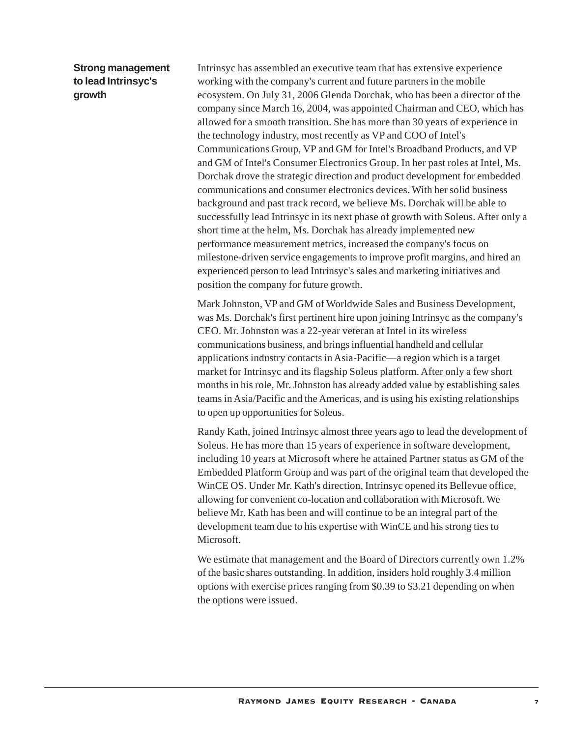## **Strong management to lead Intrinsyc's growth**

Intrinsyc has assembled an executive team that has extensive experience working with the company's current and future partners in the mobile ecosystem. On July 31, 2006 Glenda Dorchak, who has been a director of the company since March 16, 2004, was appointed Chairman and CEO, which has allowed for a smooth transition. She has more than 30 years of experience in the technology industry, most recently as VP and COO of Intel's Communications Group, VP and GM for Intel's Broadband Products, and VP and GM of Intel's Consumer Electronics Group. In her past roles at Intel, Ms. Dorchak drove the strategic direction and product development for embedded communications and consumer electronics devices. With her solid business background and past track record, we believe Ms. Dorchak will be able to successfully lead Intrinsyc in its next phase of growth with Soleus. After only a short time at the helm, Ms. Dorchak has already implemented new performance measurement metrics, increased the company's focus on milestone-driven service engagements to improve profit margins, and hired an experienced person to lead Intrinsyc's sales and marketing initiatives and position the company for future growth.

Mark Johnston, VP and GM of Worldwide Sales and Business Development, was Ms. Dorchak's first pertinent hire upon joining Intrinsyc as the company's CEO. Mr. Johnston was a 22-year veteran at Intel in its wireless communications business, and brings influential handheld and cellular applications industry contacts in Asia-Pacific—a region which is a target market for Intrinsyc and its flagship Soleus platform. After only a few short months in his role, Mr. Johnston has already added value by establishing sales teams in Asia/Pacific and the Americas, and is using his existing relationships to open up opportunities for Soleus.

Randy Kath, joined Intrinsyc almost three years ago to lead the development of Soleus. He has more than 15 years of experience in software development, including 10 years at Microsoft where he attained Partner status as GM of the Embedded Platform Group and was part of the original team that developed the WinCE OS. Under Mr. Kath's direction, Intrinsyc opened its Bellevue office, allowing for convenient co-location and collaboration with Microsoft. We believe Mr. Kath has been and will continue to be an integral part of the development team due to his expertise with WinCE and his strong ties to Microsoft.

We estimate that management and the Board of Directors currently own 1.2% of the basic shares outstanding. In addition, insiders hold roughly 3.4 million options with exercise prices ranging from \$0.39 to \$3.21 depending on when the options were issued.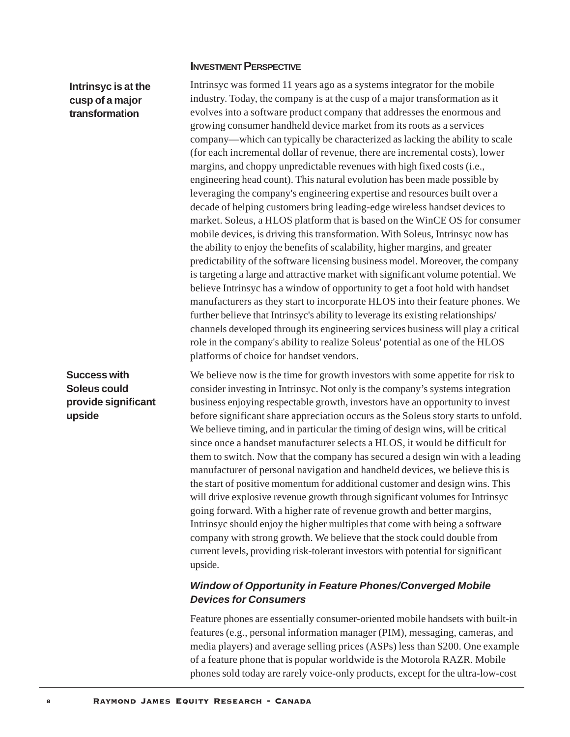## **INVESTMENT PERSPECTIVE**

## **Intrinsyc is at the cusp of a major transformation**

**Success with Soleus could**

**upside**

**provide significant**

Intrinsyc was formed 11 years ago as a systems integrator for the mobile industry. Today, the company is at the cusp of a major transformation as it evolves into a software product company that addresses the enormous and growing consumer handheld device market from its roots as a services company—which can typically be characterized as lacking the ability to scale (for each incremental dollar of revenue, there are incremental costs), lower margins, and choppy unpredictable revenues with high fixed costs (i.e., engineering head count). This natural evolution has been made possible by leveraging the company's engineering expertise and resources built over a decade of helping customers bring leading-edge wireless handset devices to market. Soleus, a HLOS platform that is based on the WinCE OS for consumer mobile devices, is driving this transformation. With Soleus, Intrinsyc now has the ability to enjoy the benefits of scalability, higher margins, and greater predictability of the software licensing business model. Moreover, the company is targeting a large and attractive market with significant volume potential. We believe Intrinsyc has a window of opportunity to get a foot hold with handset manufacturers as they start to incorporate HLOS into their feature phones. We further believe that Intrinsyc's ability to leverage its existing relationships/ channels developed through its engineering services business will play a critical role in the company's ability to realize Soleus' potential as one of the HLOS platforms of choice for handset vendors.

We believe now is the time for growth investors with some appetite for risk to consider investing in Intrinsyc. Not only is the company's systems integration business enjoying respectable growth, investors have an opportunity to invest before significant share appreciation occurs as the Soleus story starts to unfold. We believe timing, and in particular the timing of design wins, will be critical since once a handset manufacturer selects a HLOS, it would be difficult for them to switch. Now that the company has secured a design win with a leading manufacturer of personal navigation and handheld devices, we believe this is the start of positive momentum for additional customer and design wins. This will drive explosive revenue growth through significant volumes for Intrinsyc going forward. With a higher rate of revenue growth and better margins, Intrinsyc should enjoy the higher multiples that come with being a software company with strong growth. We believe that the stock could double from current levels, providing risk-tolerant investors with potential for significant upside.

## *Window of Opportunity in Feature Phones/Converged Mobile Devices for Consumers*

Feature phones are essentially consumer-oriented mobile handsets with built-in features (e.g., personal information manager (PIM), messaging, cameras, and media players) and average selling prices (ASPs) less than \$200. One example of a feature phone that is popular worldwide is the Motorola RAZR. Mobile phones sold today are rarely voice-only products, except for the ultra-low-cost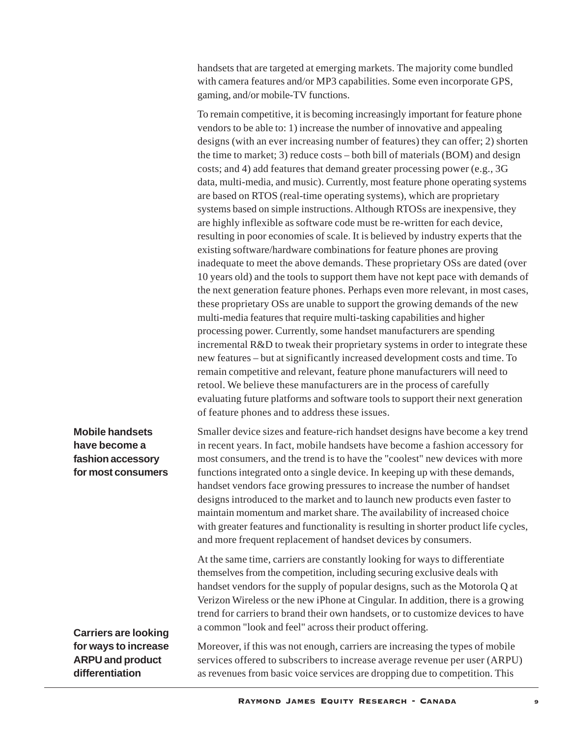handsets that are targeted at emerging markets. The majority come bundled with camera features and/or MP3 capabilities. Some even incorporate GPS, gaming, and/or mobile-TV functions.

To remain competitive, it is becoming increasingly important for feature phone vendors to be able to: 1) increase the number of innovative and appealing designs (with an ever increasing number of features) they can offer; 2) shorten the time to market; 3) reduce costs – both bill of materials (BOM) and design costs; and 4) add features that demand greater processing power (e.g., 3G data, multi-media, and music). Currently, most feature phone operating systems are based on RTOS (real-time operating systems), which are proprietary systems based on simple instructions. Although RTOSs are inexpensive, they are highly inflexible as software code must be re-written for each device, resulting in poor economies of scale. It is believed by industry experts that the existing software/hardware combinations for feature phones are proving inadequate to meet the above demands. These proprietary OSs are dated (over 10 years old) and the tools to support them have not kept pace with demands of the next generation feature phones. Perhaps even more relevant, in most cases, these proprietary OSs are unable to support the growing demands of the new multi-media features that require multi-tasking capabilities and higher processing power. Currently, some handset manufacturers are spending incremental R&D to tweak their proprietary systems in order to integrate these new features – but at significantly increased development costs and time. To remain competitive and relevant, feature phone manufacturers will need to retool. We believe these manufacturers are in the process of carefully evaluating future platforms and software tools to support their next generation of feature phones and to address these issues.

## **Mobile handsets have become a fashion accessory for most consumers**

**Carriers are looking for ways to increase ARPU and product differentiation**

Smaller device sizes and feature-rich handset designs have become a key trend in recent years. In fact, mobile handsets have become a fashion accessory for most consumers, and the trend is to have the "coolest" new devices with more functions integrated onto a single device. In keeping up with these demands, handset vendors face growing pressures to increase the number of handset designs introduced to the market and to launch new products even faster to maintain momentum and market share. The availability of increased choice with greater features and functionality is resulting in shorter product life cycles, and more frequent replacement of handset devices by consumers.

At the same time, carriers are constantly looking for ways to differentiate themselves from the competition, including securing exclusive deals with handset vendors for the supply of popular designs, such as the Motorola Q at Verizon Wireless or the new iPhone at Cingular. In addition, there is a growing trend for carriers to brand their own handsets, or to customize devices to have a common "look and feel" across their product offering.

Moreover, if this was not enough, carriers are increasing the types of mobile services offered to subscribers to increase average revenue per user (ARPU) as revenues from basic voice services are dropping due to competition. This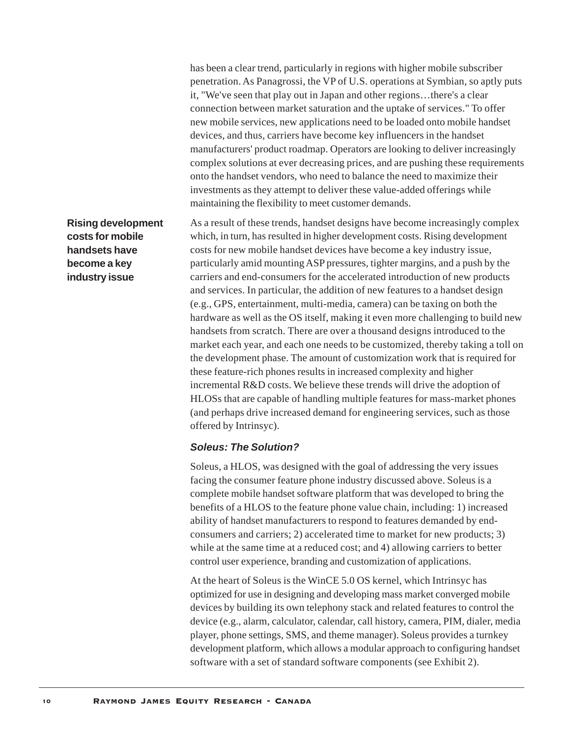has been a clear trend, particularly in regions with higher mobile subscriber penetration. As Panagrossi, the VP of U.S. operations at Symbian, so aptly puts it, "We've seen that play out in Japan and other regions…there's a clear connection between market saturation and the uptake of services." To offer new mobile services, new applications need to be loaded onto mobile handset devices, and thus, carriers have become key influencers in the handset manufacturers' product roadmap. Operators are looking to deliver increasingly complex solutions at ever decreasing prices, and are pushing these requirements onto the handset vendors, who need to balance the need to maximize their investments as they attempt to deliver these value-added offerings while maintaining the flexibility to meet customer demands.

**Rising development costs for mobile handsets have become a key industry issue**

As a result of these trends, handset designs have become increasingly complex which, in turn, has resulted in higher development costs. Rising development costs for new mobile handset devices have become a key industry issue, particularly amid mounting ASP pressures, tighter margins, and a push by the carriers and end-consumers for the accelerated introduction of new products and services. In particular, the addition of new features to a handset design (e.g., GPS, entertainment, multi-media, camera) can be taxing on both the hardware as well as the OS itself, making it even more challenging to build new handsets from scratch. There are over a thousand designs introduced to the market each year, and each one needs to be customized, thereby taking a toll on the development phase. The amount of customization work that is required for these feature-rich phones results in increased complexity and higher incremental R&D costs. We believe these trends will drive the adoption of HLOSs that are capable of handling multiple features for mass-market phones (and perhaps drive increased demand for engineering services, such as those offered by Intrinsyc).

## *Soleus: The Solution?*

Soleus, a HLOS, was designed with the goal of addressing the very issues facing the consumer feature phone industry discussed above. Soleus is a complete mobile handset software platform that was developed to bring the benefits of a HLOS to the feature phone value chain, including: 1) increased ability of handset manufacturers to respond to features demanded by endconsumers and carriers; 2) accelerated time to market for new products; 3) while at the same time at a reduced cost; and 4) allowing carriers to better control user experience, branding and customization of applications.

At the heart of Soleus is the WinCE 5.0 OS kernel, which Intrinsyc has optimized for use in designing and developing mass market converged mobile devices by building its own telephony stack and related features to control the device (e.g., alarm, calculator, calendar, call history, camera, PIM, dialer, media player, phone settings, SMS, and theme manager). Soleus provides a turnkey development platform, which allows a modular approach to configuring handset software with a set of standard software components (see Exhibit 2).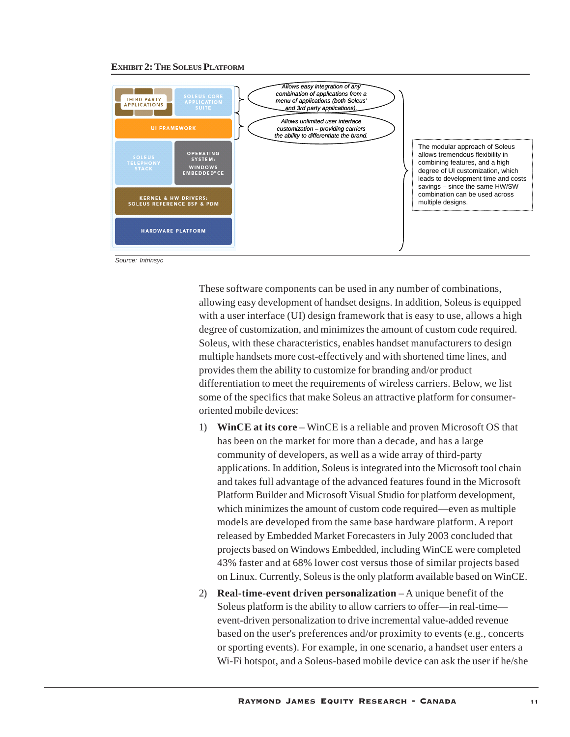#### **EXHIBIT 2: THE SOLEUS PLATFORM**



*Source: Intrinsyc*

These software components can be used in any number of combinations, allowing easy development of handset designs. In addition, Soleus is equipped with a user interface (UI) design framework that is easy to use, allows a high degree of customization, and minimizes the amount of custom code required. Soleus, with these characteristics, enables handset manufacturers to design multiple handsets more cost-effectively and with shortened time lines, and provides them the ability to customize for branding and/or product differentiation to meet the requirements of wireless carriers. Below, we list some of the specifics that make Soleus an attractive platform for consumeroriented mobile devices:

- 1) **WinCE at its core** WinCE is a reliable and proven Microsoft OS that has been on the market for more than a decade, and has a large community of developers, as well as a wide array of third-party applications. In addition, Soleus is integrated into the Microsoft tool chain and takes full advantage of the advanced features found in the Microsoft Platform Builder and Microsoft Visual Studio for platform development, which minimizes the amount of custom code required—even as multiple models are developed from the same base hardware platform. A report released by Embedded Market Forecasters in July 2003 concluded that projects based on Windows Embedded, including WinCE were completed 43% faster and at 68% lower cost versus those of similar projects based on Linux. Currently, Soleus is the only platform available based on WinCE.
- 2) **Real-time-event driven personalization** A unique benefit of the Soleus platform is the ability to allow carriers to offer—in real-time event-driven personalization to drive incremental value-added revenue based on the user's preferences and/or proximity to events (e.g., concerts or sporting events). For example, in one scenario, a handset user enters a Wi-Fi hotspot, and a Soleus-based mobile device can ask the user if he/she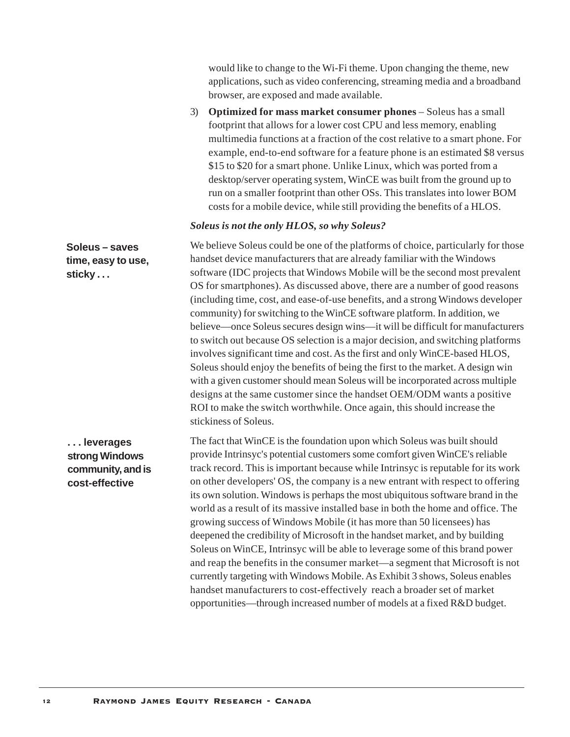would like to change to the Wi-Fi theme. Upon changing the theme, new applications, such as video conferencing, streaming media and a broadband browser, are exposed and made available.

3) **Optimized for mass market consumer phones** – Soleus has a small footprint that allows for a lower cost CPU and less memory, enabling multimedia functions at a fraction of the cost relative to a smart phone. For example, end-to-end software for a feature phone is an estimated \$8 versus \$15 to \$20 for a smart phone. Unlike Linux, which was ported from a desktop/server operating system, WinCE was built from the ground up to run on a smaller footprint than other OSs. This translates into lower BOM costs for a mobile device, while still providing the benefits of a HLOS.

#### *Soleus is not the only HLOS, so why Soleus?*

We believe Soleus could be one of the platforms of choice, particularly for those handset device manufacturers that are already familiar with the Windows software (IDC projects that Windows Mobile will be the second most prevalent OS for smartphones). As discussed above, there are a number of good reasons (including time, cost, and ease-of-use benefits, and a strong Windows developer community) for switching to the WinCE software platform. In addition, we believe—once Soleus secures design wins—it will be difficult for manufacturers to switch out because OS selection is a major decision, and switching platforms involves significant time and cost. As the first and only WinCE-based HLOS, Soleus should enjoy the benefits of being the first to the market. A design win with a given customer should mean Soleus will be incorporated across multiple designs at the same customer since the handset OEM/ODM wants a positive ROI to make the switch worthwhile. Once again, this should increase the stickiness of Soleus. **Soleus – saves time, easy to use, sticky . . .**

**. . . leverages strong Windows community, and is cost-effective**

The fact that WinCE is the foundation upon which Soleus was built should provide Intrinsyc's potential customers some comfort given WinCE's reliable track record. This is important because while Intrinsyc is reputable for its work on other developers' OS, the company is a new entrant with respect to offering its own solution. Windows is perhaps the most ubiquitous software brand in the world as a result of its massive installed base in both the home and office. The growing success of Windows Mobile (it has more than 50 licensees) has deepened the credibility of Microsoft in the handset market, and by building Soleus on WinCE, Intrinsyc will be able to leverage some of this brand power and reap the benefits in the consumer market—a segment that Microsoft is not currently targeting with Windows Mobile. As Exhibit 3 shows, Soleus enables handset manufacturers to cost-effectively reach a broader set of market opportunities—through increased number of models at a fixed R&D budget.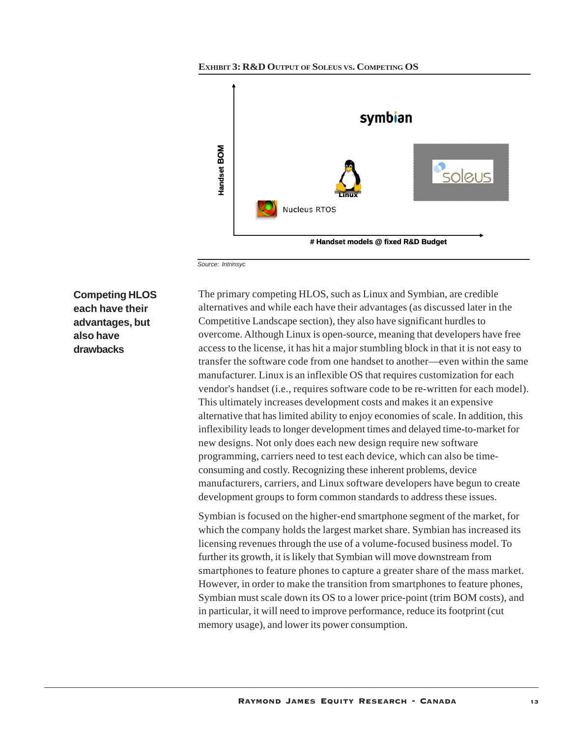



*Source: Intrinsyc*

**Competing HLOS each have their advantages, but also have drawbacks**

The primary competing HLOS, such as Linux and Symbian, are credible alternatives and while each have their advantages (as discussed later in the Competitive Landscape section), they also have significant hurdles to overcome. Although Linux is open-source, meaning that developers have free access to the license, it has hit a major stumbling block in that it is not easy to transfer the software code from one handset to another—even within the same manufacturer. Linux is an inflexible OS that requires customization for each vendor's handset (i.e., requires software code to be re-written for each model). This ultimately increases development costs and makes it an expensive alternative that has limited ability to enjoy economies of scale. In addition, this inflexibility leads to longer development times and delayed time-to-market for new designs. Not only does each new design require new software programming, carriers need to test each device, which can also be timeconsuming and costly. Recognizing these inherent problems, device manufacturers, carriers, and Linux software developers have begun to create development groups to form common standards to address these issues.

Symbian is focused on the higher-end smartphone segment of the market, for which the company holds the largest market share. Symbian has increased its licensing revenues through the use of a volume-focused business model. To further its growth, it is likely that Symbian will move downstream from smartphones to feature phones to capture a greater share of the mass market. However, in order to make the transition from smartphones to feature phones, Symbian must scale down its OS to a lower price-point (trim BOM costs), and in particular, it will need to improve performance, reduce its footprint (cut memory usage), and lower its power consumption.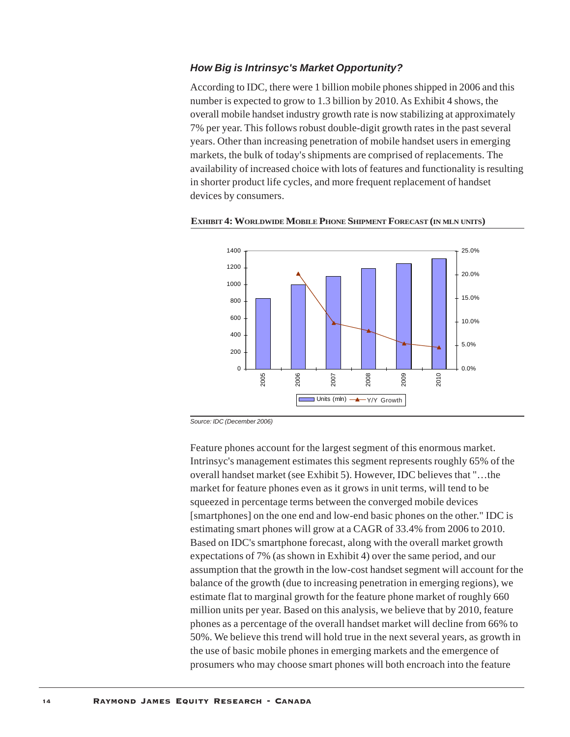## *How Big is Intrinsyc's Market Opportunity?*

According to IDC, there were 1 billion mobile phones shipped in 2006 and this number is expected to grow to 1.3 billion by 2010. As Exhibit 4 shows, the overall mobile handset industry growth rate is now stabilizing at approximately 7% per year. This follows robust double-digit growth rates in the past several years. Other than increasing penetration of mobile handset users in emerging markets, the bulk of today's shipments are comprised of replacements. The availability of increased choice with lots of features and functionality is resulting in shorter product life cycles, and more frequent replacement of handset devices by consumers.



**EXHIBIT 4: WORLDWIDE MOBILE PHONE SHIPMENT FORECAST (IN MLN UNITS)**

*Source: IDC (December 2006)*

Feature phones account for the largest segment of this enormous market. Intrinsyc's management estimates this segment represents roughly 65% of the overall handset market (see Exhibit 5). However, IDC believes that "…the market for feature phones even as it grows in unit terms, will tend to be squeezed in percentage terms between the converged mobile devices [smartphones] on the one end and low-end basic phones on the other." IDC is estimating smart phones will grow at a CAGR of 33.4% from 2006 to 2010. Based on IDC's smartphone forecast, along with the overall market growth expectations of 7% (as shown in Exhibit 4) over the same period, and our assumption that the growth in the low-cost handset segment will account for the balance of the growth (due to increasing penetration in emerging regions), we estimate flat to marginal growth for the feature phone market of roughly 660 million units per year. Based on this analysis, we believe that by 2010, feature phones as a percentage of the overall handset market will decline from 66% to 50%. We believe this trend will hold true in the next several years, as growth in the use of basic mobile phones in emerging markets and the emergence of prosumers who may choose smart phones will both encroach into the feature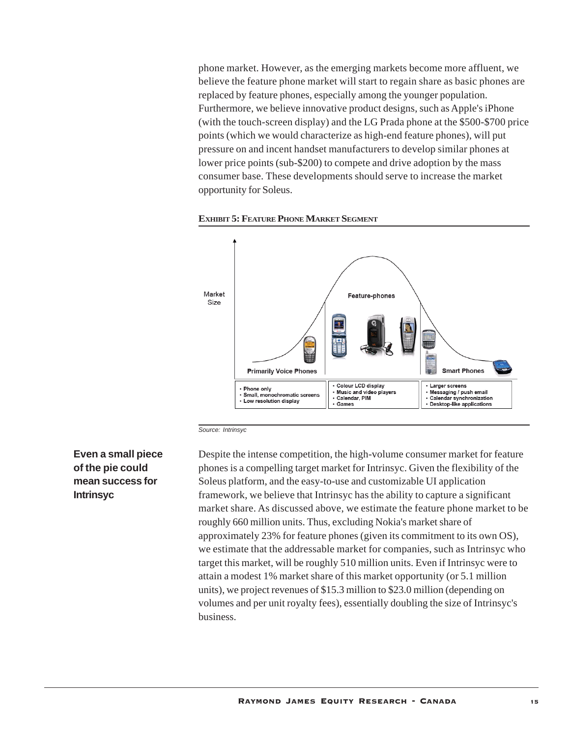phone market. However, as the emerging markets become more affluent, we believe the feature phone market will start to regain share as basic phones are replaced by feature phones, especially among the younger population. Furthermore, we believe innovative product designs, such as Apple's iPhone (with the touch-screen display) and the LG Prada phone at the \$500-\$700 price points (which we would characterize as high-end feature phones), will put pressure on and incent handset manufacturers to develop similar phones at lower price points (sub-\$200) to compete and drive adoption by the mass consumer base. These developments should serve to increase the market opportunity for Soleus.





*Source: Intrinsyc*

## **Even a small piece of the pie could mean success for Intrinsyc**

Despite the intense competition, the high-volume consumer market for feature phones is a compelling target market for Intrinsyc. Given the flexibility of the Soleus platform, and the easy-to-use and customizable UI application framework, we believe that Intrinsyc has the ability to capture a significant market share. As discussed above, we estimate the feature phone market to be roughly 660 million units. Thus, excluding Nokia's market share of approximately 23% for feature phones (given its commitment to its own OS), we estimate that the addressable market for companies, such as Intrinsyc who target this market, will be roughly 510 million units. Even if Intrinsyc were to attain a modest 1% market share of this market opportunity (or 5.1 million units), we project revenues of \$15.3 million to \$23.0 million (depending on volumes and per unit royalty fees), essentially doubling the size of Intrinsyc's business.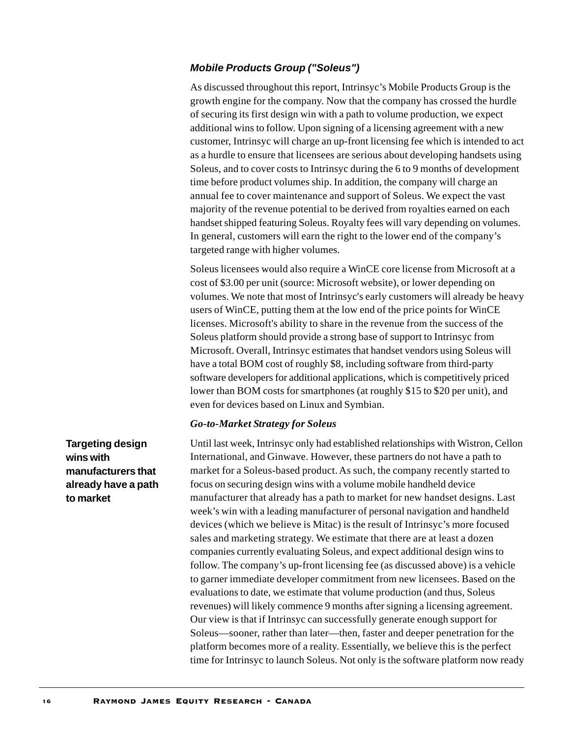## *Mobile Products Group ("Soleus")*

As discussed throughout this report, Intrinsyc's Mobile Products Group is the growth engine for the company. Now that the company has crossed the hurdle of securing its first design win with a path to volume production, we expect additional wins to follow. Upon signing of a licensing agreement with a new customer, Intrinsyc will charge an up-front licensing fee which is intended to act as a hurdle to ensure that licensees are serious about developing handsets using Soleus, and to cover costs to Intrinsyc during the 6 to 9 months of development time before product volumes ship. In addition, the company will charge an annual fee to cover maintenance and support of Soleus. We expect the vast majority of the revenue potential to be derived from royalties earned on each handset shipped featuring Soleus. Royalty fees will vary depending on volumes. In general, customers will earn the right to the lower end of the company's targeted range with higher volumes.

Soleus licensees would also require a WinCE core license from Microsoft at a cost of \$3.00 per unit (source: Microsoft website), or lower depending on volumes. We note that most of Intrinsyc's early customers will already be heavy users of WinCE, putting them at the low end of the price points for WinCE licenses. Microsoft's ability to share in the revenue from the success of the Soleus platform should provide a strong base of support to Intrinsyc from Microsoft. Overall, Intrinsyc estimates that handset vendors using Soleus will have a total BOM cost of roughly \$8, including software from third-party software developers for additional applications, which is competitively priced lower than BOM costs for smartphones (at roughly \$15 to \$20 per unit), and even for devices based on Linux and Symbian.

#### *Go-to-Market Strategy for Soleus*

Until last week, Intrinsyc only had established relationships with Wistron, Cellon International, and Ginwave. However, these partners do not have a path to market for a Soleus-based product. As such, the company recently started to focus on securing design wins with a volume mobile handheld device manufacturer that already has a path to market for new handset designs. Last week's win with a leading manufacturer of personal navigation and handheld devices (which we believe is Mitac) is the result of Intrinsyc's more focused sales and marketing strategy. We estimate that there are at least a dozen companies currently evaluating Soleus, and expect additional design wins to follow. The company's up-front licensing fee (as discussed above) is a vehicle to garner immediate developer commitment from new licensees. Based on the evaluations to date, we estimate that volume production (and thus, Soleus revenues) will likely commence 9 months after signing a licensing agreement. Our view is that if Intrinsyc can successfully generate enough support for Soleus—sooner, rather than later—then, faster and deeper penetration for the platform becomes more of a reality. Essentially, we believe this is the perfect time for Intrinsyc to launch Soleus. Not only is the software platform now ready

**Targeting design wins with manufacturers that already have a path to market**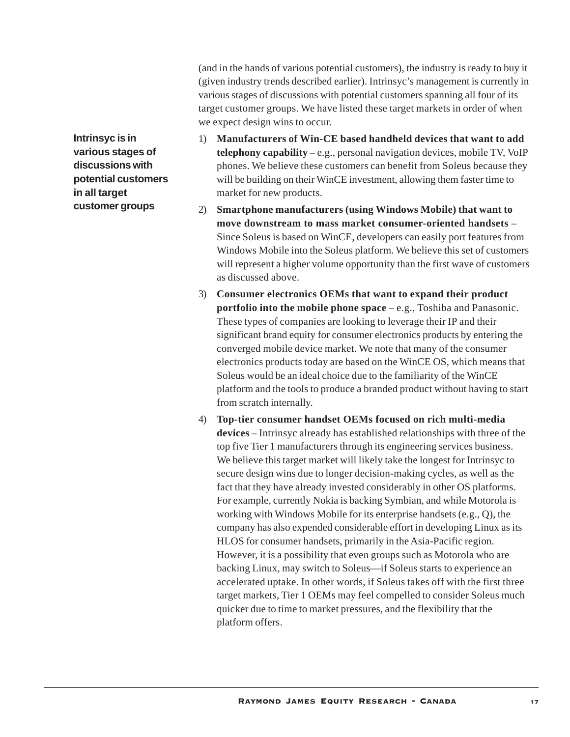(and in the hands of various potential customers), the industry is ready to buy it (given industry trends described earlier). Intrinsyc's management is currently in various stages of discussions with potential customers spanning all four of its target customer groups. We have listed these target markets in order of when we expect design wins to occur.

**Intrinsyc is in various stages of discussions with potential customers in all target customer groups**

- 1) **Manufacturers of Win-CE based handheld devices that want to add telephony capability** – e.g., personal navigation devices, mobile TV, VoIP phones. We believe these customers can benefit from Soleus because they will be building on their WinCE investment, allowing them faster time to market for new products.
- 2) **Smartphone manufacturers (using Windows Mobile) that want to move downstream to mass market consumer-oriented handsets** – Since Soleus is based on WinCE, developers can easily port features from Windows Mobile into the Soleus platform. We believe this set of customers will represent a higher volume opportunity than the first wave of customers as discussed above.
- 3) **Consumer electronics OEMs that want to expand their product portfolio into the mobile phone space** – e.g., Toshiba and Panasonic. These types of companies are looking to leverage their IP and their significant brand equity for consumer electronics products by entering the converged mobile device market. We note that many of the consumer electronics products today are based on the WinCE OS, which means that Soleus would be an ideal choice due to the familiarity of the WinCE platform and the tools to produce a branded product without having to start from scratch internally.
- 4) **Top-tier consumer handset OEMs focused on rich multi-media devices** – Intrinsyc already has established relationships with three of the top five Tier 1 manufacturers through its engineering services business. We believe this target market will likely take the longest for Intrinsyc to secure design wins due to longer decision-making cycles, as well as the fact that they have already invested considerably in other OS platforms. For example, currently Nokia is backing Symbian, and while Motorola is working with Windows Mobile for its enterprise handsets (e.g., Q), the company has also expended considerable effort in developing Linux as its HLOS for consumer handsets, primarily in the Asia-Pacific region. However, it is a possibility that even groups such as Motorola who are backing Linux, may switch to Soleus—if Soleus starts to experience an accelerated uptake. In other words, if Soleus takes off with the first three target markets, Tier 1 OEMs may feel compelled to consider Soleus much quicker due to time to market pressures, and the flexibility that the platform offers.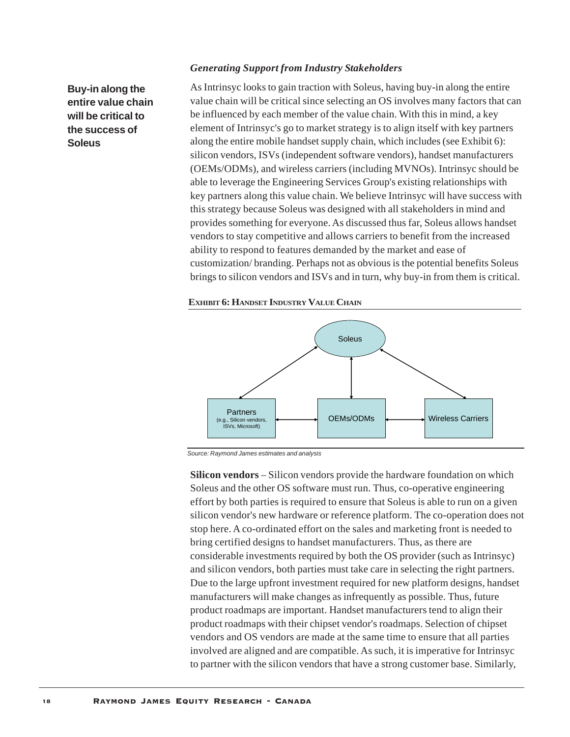#### *Generating Support from Industry Stakeholders*

**Buy-in along the entire value chain will be critical to the success of Soleus**

As Intrinsyc looks to gain traction with Soleus, having buy-in along the entire value chain will be critical since selecting an OS involves many factors that can be influenced by each member of the value chain. With this in mind, a key element of Intrinsyc's go to market strategy is to align itself with key partners along the entire mobile handset supply chain, which includes (see Exhibit 6): silicon vendors, ISVs (independent software vendors), handset manufacturers (OEMs/ODMs), and wireless carriers (including MVNOs). Intrinsyc should be able to leverage the Engineering Services Group's existing relationships with key partners along this value chain. We believe Intrinsyc will have success with this strategy because Soleus was designed with all stakeholders in mind and provides something for everyone. As discussed thus far, Soleus allows handset vendors to stay competitive and allows carriers to benefit from the increased ability to respond to features demanded by the market and ease of customization/ branding. Perhaps not as obvious is the potential benefits Soleus brings to silicon vendors and ISVs and in turn, why buy-in from them is critical.

#### **EXHIBIT 6: HANDSET INDUSTRY VALUE CHAIN**



*Source: Raymond James estimates and analysis*

**Silicon vendors** – Silicon vendors provide the hardware foundation on which Soleus and the other OS software must run. Thus, co-operative engineering effort by both parties is required to ensure that Soleus is able to run on a given silicon vendor's new hardware or reference platform. The co-operation does not stop here. A co-ordinated effort on the sales and marketing front is needed to bring certified designs to handset manufacturers. Thus, as there are considerable investments required by both the OS provider (such as Intrinsyc) and silicon vendors, both parties must take care in selecting the right partners. Due to the large upfront investment required for new platform designs, handset manufacturers will make changes as infrequently as possible. Thus, future product roadmaps are important. Handset manufacturers tend to align their product roadmaps with their chipset vendor's roadmaps. Selection of chipset vendors and OS vendors are made at the same time to ensure that all parties involved are aligned and are compatible. As such, it is imperative for Intrinsyc to partner with the silicon vendors that have a strong customer base. Similarly,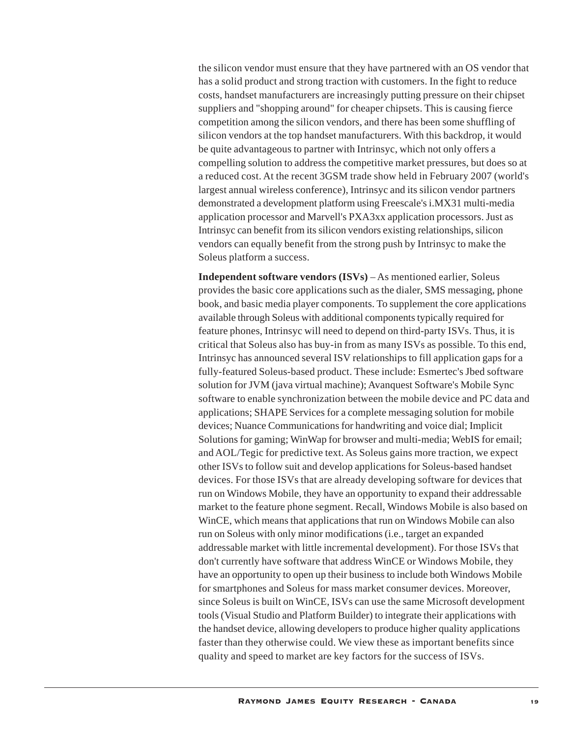the silicon vendor must ensure that they have partnered with an OS vendor that has a solid product and strong traction with customers. In the fight to reduce costs, handset manufacturers are increasingly putting pressure on their chipset suppliers and "shopping around" for cheaper chipsets. This is causing fierce competition among the silicon vendors, and there has been some shuffling of silicon vendors at the top handset manufacturers. With this backdrop, it would be quite advantageous to partner with Intrinsyc, which not only offers a compelling solution to address the competitive market pressures, but does so at a reduced cost. At the recent 3GSM trade show held in February 2007 (world's largest annual wireless conference), Intrinsyc and its silicon vendor partners demonstrated a development platform using Freescale's i.MX31 multi-media application processor and Marvell's PXA3xx application processors. Just as Intrinsyc can benefit from its silicon vendors existing relationships, silicon vendors can equally benefit from the strong push by Intrinsyc to make the Soleus platform a success.

**Independent software vendors (ISVs)** – As mentioned earlier, Soleus provides the basic core applications such as the dialer, SMS messaging, phone book, and basic media player components. To supplement the core applications available through Soleus with additional components typically required for feature phones, Intrinsyc will need to depend on third-party ISVs. Thus, it is critical that Soleus also has buy-in from as many ISVs as possible. To this end, Intrinsyc has announced several ISV relationships to fill application gaps for a fully-featured Soleus-based product. These include: Esmertec's Jbed software solution for JVM (java virtual machine); Avanquest Software's Mobile Sync software to enable synchronization between the mobile device and PC data and applications; SHAPE Services for a complete messaging solution for mobile devices; Nuance Communications for handwriting and voice dial; Implicit Solutions for gaming; WinWap for browser and multi-media; WebIS for email; and AOL/Tegic for predictive text. As Soleus gains more traction, we expect other ISVs to follow suit and develop applications for Soleus-based handset devices. For those ISVs that are already developing software for devices that run on Windows Mobile, they have an opportunity to expand their addressable market to the feature phone segment. Recall, Windows Mobile is also based on WinCE, which means that applications that run on Windows Mobile can also run on Soleus with only minor modifications (i.e., target an expanded addressable market with little incremental development). For those ISVs that don't currently have software that address WinCE or Windows Mobile, they have an opportunity to open up their business to include both Windows Mobile for smartphones and Soleus for mass market consumer devices. Moreover, since Soleus is built on WinCE, ISVs can use the same Microsoft development tools (Visual Studio and Platform Builder) to integrate their applications with the handset device, allowing developers to produce higher quality applications faster than they otherwise could. We view these as important benefits since quality and speed to market are key factors for the success of ISVs.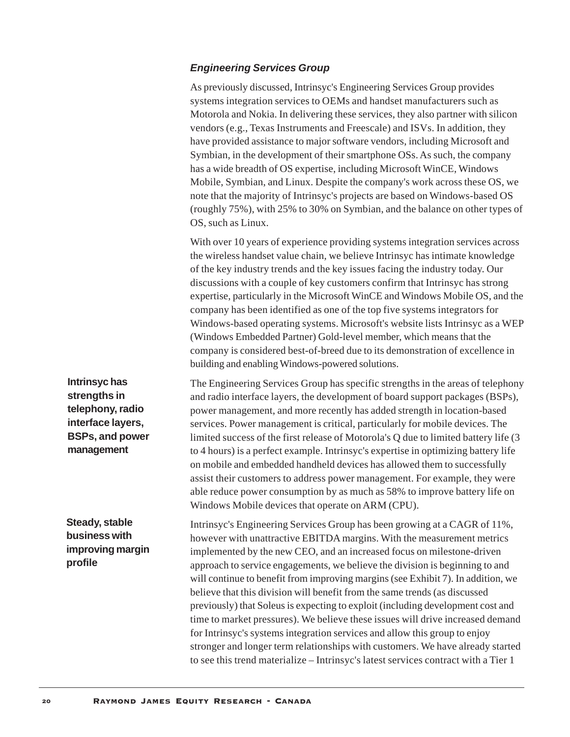## *Engineering Services Group*

As previously discussed, Intrinsyc's Engineering Services Group provides systems integration services to OEMs and handset manufacturers such as Motorola and Nokia. In delivering these services, they also partner with silicon vendors (e.g., Texas Instruments and Freescale) and ISVs. In addition, they have provided assistance to major software vendors, including Microsoft and Symbian, in the development of their smartphone OSs. As such, the company has a wide breadth of OS expertise, including Microsoft WinCE, Windows Mobile, Symbian, and Linux. Despite the company's work across these OS, we note that the majority of Intrinsyc's projects are based on Windows-based OS (roughly 75%), with 25% to 30% on Symbian, and the balance on other types of OS, such as Linux.

With over 10 years of experience providing systems integration services across the wireless handset value chain, we believe Intrinsyc has intimate knowledge of the key industry trends and the key issues facing the industry today. Our discussions with a couple of key customers confirm that Intrinsyc has strong expertise, particularly in the Microsoft WinCE and Windows Mobile OS, and the company has been identified as one of the top five systems integrators for Windows-based operating systems. Microsoft's website lists Intrinsyc as a WEP (Windows Embedded Partner) Gold-level member, which means that the company is considered best-of-breed due to its demonstration of excellence in building and enabling Windows-powered solutions.

The Engineering Services Group has specific strengths in the areas of telephony and radio interface layers, the development of board support packages (BSPs), power management, and more recently has added strength in location-based services. Power management is critical, particularly for mobile devices. The limited success of the first release of Motorola's Q due to limited battery life (3 to 4 hours) is a perfect example. Intrinsyc's expertise in optimizing battery life on mobile and embedded handheld devices has allowed them to successfully assist their customers to address power management. For example, they were able reduce power consumption by as much as 58% to improve battery life on Windows Mobile devices that operate on ARM (CPU).

Intrinsyc's Engineering Services Group has been growing at a CAGR of 11%, however with unattractive EBITDA margins. With the measurement metrics implemented by the new CEO, and an increased focus on milestone-driven approach to service engagements, we believe the division is beginning to and will continue to benefit from improving margins (see Exhibit 7). In addition, we believe that this division will benefit from the same trends (as discussed previously) that Soleus is expecting to exploit (including development cost and time to market pressures). We believe these issues will drive increased demand for Intrinsyc's systems integration services and allow this group to enjoy stronger and longer term relationships with customers. We have already started to see this trend materialize – Intrinsyc's latest services contract with a Tier 1

**Intrinsyc has strengths in telephony, radio interface layers, BSPs, and power management**

**Steady, stable business with improving margin profile**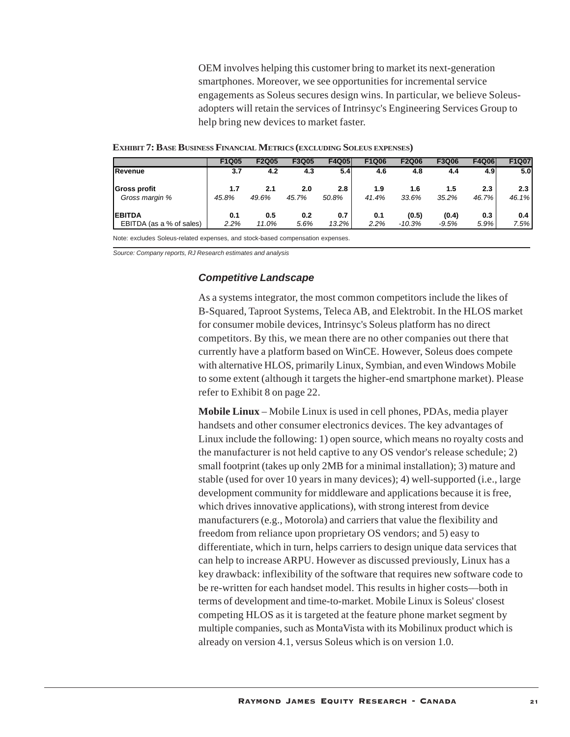OEM involves helping this customer bring to market its next-generation smartphones. Moreover, we see opportunities for incremental service engagements as Soleus secures design wins. In particular, we believe Soleusadopters will retain the services of Intrinsyc's Engineering Services Group to help bring new devices to market faster.

|                          | <b>F1Q05</b> | F2Q05 | F3Q05 | <b>F4Q05</b> | F1Q06 | F2Q06    | F3Q06   | <b>F4Q06</b> | F1Q07 |
|--------------------------|--------------|-------|-------|--------------|-------|----------|---------|--------------|-------|
| Revenue                  | 3.7          | 4.2   | 4.3   | 5.4          | 4.6   | 4.8      | 4.4     | 4.9I         | 5.0   |
| <b>Gross profit</b>      | 1.7          | 2.1   | 2.0   | 2.8          | 1.9   | 1.6      | 1.5     | 2.3          | 2.3   |
| Gross margin %           | 45.8%        | 49.6% | 45.7% | 50.8%        | 41.4% | 33.6%    | 35.2%   | 46.7%        | 46.1% |
| <b>EBITDA</b>            | 0.1          | 0.5   | 0.2   | 0.7          | 0.1   | (0.5)    | (0.4)   | 0.3          | 0.4   |
| EBITDA (as a % of sales) | 2.2%         | 11.0% | 5.6%  | $13.2\%$     | 2.2%  | $-10.3%$ | $-9.5%$ | 5.9%         | 7.5%  |

#### **EXHIBIT 7: BASE BUSINESS FINANCIAL METRICS (EXCLUDING SOLEUS EXPENSES)**

Note: excludes Soleus-related expenses, and stock-based compensation expenses.

*Source: Company reports, RJ Research estimates and analysis*

## *Competitive Landscape*

As a systems integrator, the most common competitors include the likes of B-Squared, Taproot Systems, Teleca AB, and Elektrobit. In the HLOS market for consumer mobile devices, Intrinsyc's Soleus platform has no direct competitors. By this, we mean there are no other companies out there that currently have a platform based on WinCE. However, Soleus does compete with alternative HLOS, primarily Linux, Symbian, and even Windows Mobile to some extent (although it targets the higher-end smartphone market). Please refer to Exhibit 8 on page 22.

**Mobile Linux** – Mobile Linux is used in cell phones, PDAs, media player handsets and other consumer electronics devices. The key advantages of Linux include the following: 1) open source, which means no royalty costs and the manufacturer is not held captive to any OS vendor's release schedule; 2) small footprint (takes up only 2MB for a minimal installation); 3) mature and stable (used for over 10 years in many devices); 4) well-supported (i.e., large development community for middleware and applications because it is free, which drives innovative applications), with strong interest from device manufacturers (e.g., Motorola) and carriers that value the flexibility and freedom from reliance upon proprietary OS vendors; and 5) easy to differentiate, which in turn, helps carriers to design unique data services that can help to increase ARPU. However as discussed previously, Linux has a key drawback: inflexibility of the software that requires new software code to be re-written for each handset model. This results in higher costs—both in terms of development and time-to-market. Mobile Linux is Soleus' closest competing HLOS as it is targeted at the feature phone market segment by multiple companies, such as MontaVista with its Mobilinux product which is already on version 4.1, versus Soleus which is on version 1.0.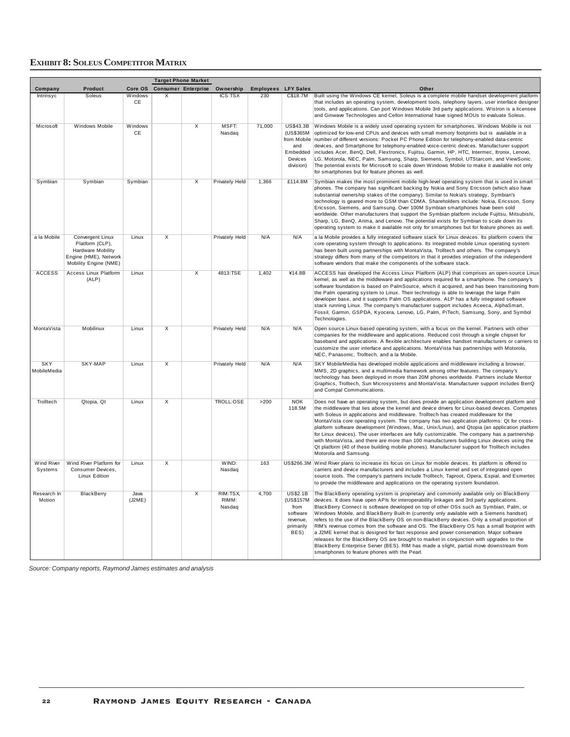## **EXHIBIT 8: SOLEUS COMPETITOR MATRIX**

|                              |                                                                                                            |                      |                         | <b>Target Phone Market</b> |                             |                  |                                                                                         |                                                                                                                                                                                                                                                                                                                                                                                                                                                                                                                                                                                                                                                                                                                                                                                                                                                                                                               |
|------------------------------|------------------------------------------------------------------------------------------------------------|----------------------|-------------------------|----------------------------|-----------------------------|------------------|-----------------------------------------------------------------------------------------|---------------------------------------------------------------------------------------------------------------------------------------------------------------------------------------------------------------------------------------------------------------------------------------------------------------------------------------------------------------------------------------------------------------------------------------------------------------------------------------------------------------------------------------------------------------------------------------------------------------------------------------------------------------------------------------------------------------------------------------------------------------------------------------------------------------------------------------------------------------------------------------------------------------|
| Company                      | <b>Product</b>                                                                                             | Core OS              |                         | <b>Consumer Enterprise</b> | Ownership                   | <b>Employees</b> | <b>LFY Sales</b>                                                                        | Other                                                                                                                                                                                                                                                                                                                                                                                                                                                                                                                                                                                                                                                                                                                                                                                                                                                                                                         |
| Intrinsyc                    | Soleus                                                                                                     | <b>Windows</b><br>CE | X                       |                            | ICS:TSX                     | 230              | C\$18.7M                                                                                | Built using the Windows CE kernel, Soleus is a complete mobile handset development platform<br>that includes an operating system, development tools, telephony layers, user interface designer<br>tools, and applications. Can port Windows Mobile 3rd party applications. Wistron is a licensee<br>and Ginwave Technologies and Cellon International have signed MOUs to evaluate Soleus.                                                                                                                                                                                                                                                                                                                                                                                                                                                                                                                    |
| Microsoft                    | Windows Mobile                                                                                             | Windows<br>CE        |                         | $\overline{\mathsf{x}}$    | MSFT:<br>Nasdaq             | 71,000           | <b>US\$43.3B</b><br>(US\$365M<br>from Mobile<br>and<br>Embedded<br>Devices<br>division) | Windows Mobile is a widely used operating system for smartphones. Windows Mobile is not<br>optimized for low-end CPUs and devices with small memory footprints but is available in a<br>number of different versions: Pocket PC Phone Edition for telephony-enabled data-centric<br>devices, and Smartphone for telephony-enabled voice-centric devices. Manufacturer support<br>includes Acer, BenQ, Dell, Flextronics, Fujitsu, Garmin, HP, HTC, Intermec, Itronix, Lenovo,<br>LG, Motorola, NEC, Palm, Samsung, Sharp, Siemens, Symbol, UTStarcom, and ViewSonic.<br>The potential exists for Microsoft to scale down Windows Mobile to make it available not only<br>for smartphones but for feature phones as well.                                                                                                                                                                                      |
| Symbian                      | Symbian                                                                                                    | Symbian              |                         | $\overline{\mathsf{x}}$    | Privately Held              | 1,366            | £114.8M                                                                                 | Symbian makes the most prominent mobile high-level operating system that is used in smart<br>phones. The company has significant backing by Nokia and Sony Ericsson (which also have<br>substantial ownership stakes of the company). Similar to Nokia's strategy, Symbian's<br>technology is geared more to GSM than CDMA. Shareholders include: Nokia, Ericsson, Sony<br>Ericsson, Siemens, and Samsung. Over 100M Symbian smartphones have been sold<br>worldwide. Other manufacturers that support the Symbian platform include Fujitsu, Mitsubishi,<br>Sharp, LG, BenQ, Arima, and Lenovo. The potential exists for Symbian to scale down its<br>operating system to make it available not only for smartphones but for feature phones as well.                                                                                                                                                          |
| a la Mobile                  | Convergent Linux<br>Platform (CLP),<br>Hardware Mobility<br>Engine (HME), Network<br>Mobility Engine (NME) | Linux                | $\overline{\mathsf{x}}$ |                            | Privately Held              | N/A              | N/A                                                                                     | a la Mobile provides a fully integrated software stack for Linux devices. Its platform covers the<br>core operating system through to applications. Its integrated mobile Linux operating system<br>has been built using partnerships with MontaVista, Trolltech and others. The company's<br>strategy differs from many of the competitors in that it provides integration of the independent<br>software vendors that make the components of the software stack.                                                                                                                                                                                                                                                                                                                                                                                                                                            |
| <b>ACCESS</b>                | <b>Access Linux Platform</b><br>(ALP)                                                                      | Linux                |                         | $\overline{\mathsf{x}}$    | 4813:TSE                    | 1,402            | ¥14.8B                                                                                  | ACCESS has developed the Access Linux Platform (ALP) that comprises an open-source Linux<br>kernel, as well as the middleware and applications required for a smartphone. The company's<br>software foundation is based on PalmSource, which it acquired, and has been transitioning from<br>the Palm operating system to Linux. Their technology is able to leverage the large Palm<br>developer base, and it supports Palm OS applications. ALP has a fully integrated software<br>stack running Linux. The company's manufacturer support includes Aceeca, AlphaSmart,<br>Fossil, Garmin, GSPDA, Kyocera, Lenovo, LG, Palm, PiTech, Samsung, Sony, and Symbol<br>Technologies.                                                                                                                                                                                                                             |
| MontaVista                   | Mobilinux                                                                                                  | Linux                | $\overline{\mathsf{x}}$ |                            | <b>Privately Held</b>       | N/A              | N/A                                                                                     | Open source Linux-based operating system, with a focus on the kernel. Partners with other<br>companies for the middleware and applications. Reduced cost through a single chipset for<br>baseband and applications. A flexible architecture enables handset manufacturers or carriers to<br>customize the user interface and applications. MontaVista has partnerships with Motorola,<br>NEC, Panasonic, Trolltech, and a la Mobile.                                                                                                                                                                                                                                                                                                                                                                                                                                                                          |
| <b>SKY</b><br>MobileMedia    | SKY-MAP                                                                                                    | Linux                | X                       |                            | Privately Held              | N/A              | N/A                                                                                     | SKY MobileMedia has developed mobile applications and middleware including a browser,<br>MMS, 2D graphics, and a multimedia framework among other features. The company's<br>technology has been deployed in more than 20M phones worldwide. Partners include Mentor<br>Graphics, Trolltech, Sun Microsystems and MontaVista. Manufacturer support includes BenQ<br>and Compal Communications.                                                                                                                                                                                                                                                                                                                                                                                                                                                                                                                |
| Trolltech                    | Qtopia, Qt                                                                                                 | Linux                | $\overline{\mathsf{x}}$ |                            | TROLL:OSE                   | >200             | <b>NOK</b><br>118.5M                                                                    | Does not have an operating system, but does provide an application development platform and<br>the middleware that lies above the kernel and device drivers for Linux-based devices. Competes<br>with Soleus in applications and middleware. Trolltech has created middleware for the<br>MontaVista core operating system. The company has two application platforms: Qt for cross-<br>platform software development (Windows, Mac, Unix/Linux), and Qtopia (an application platform<br>for Linux devices). The user interfaces are fully customizable. The company has a partnership<br>with MontaVista, and there are more than 100 manufacturers building Linux devices using the<br>Qt platform (40 of these building mobile phones). Manufacturer support for Trolltech includes<br>Motorola and Samsung.                                                                                                |
| <b>Wind River</b><br>Systems | Wind River Platform for<br>Consumer Devices,<br>Linux Edition                                              | Linux                | $\overline{\mathsf{x}}$ |                            | WIND:<br>Nasdaq             | 163              |                                                                                         | US\$266.3M Wind River plans to increase its focus on Linux for mobile devices. Its platform is offered to<br>carriers and device manufacturers and includes a Linux kernel and set of integrated open<br>source tools. The company's partners include Trolltech, Taproot, Opera, Espial, and Esmertec<br>to provide the middleware and applications on the operating system foundation.                                                                                                                                                                                                                                                                                                                                                                                                                                                                                                                       |
| Research In<br>Motion        | BlackBerry                                                                                                 | Java<br>(J2ME)       |                         | $\overline{\mathsf{x}}$    | RIM:TSX,<br>RIMM:<br>Nasdaq | 4,700            | <b>US\$2.1B</b><br>(US\$157M<br>from<br>software<br>revenue,<br>primarily<br>BES)       | The BlackBerry operating system is proprietary and commonly available only on BlackBerry<br>devices. It does have open APIs for interoperability linkages and 3rd party applications.<br>BlackBerry Connect is software developed on top of other OSs such as Symbian, Palm, or<br>Windows Mobile, and BlackBerry Built-In (currently only available with a Siemens handset)<br>refers to the use of the BlackBerry OS on non-BlackBerry devices. Only a small proportion of<br>RIM's revenue comes from the software and OS. The BlackBerry OS has a small footprint with<br>a J2ME kernel that is designed for fast response and power conservation. Major software<br>releases for the BlackBerry OS are brought to market in conjunction with upgrades to the<br>BlackBerry Enterprise Server (BES). RIM has made a slight, partial move downstream from<br>smartphones to feature phones with the Pearl. |

*Source: Company reports, Raymond James estimates and analysis*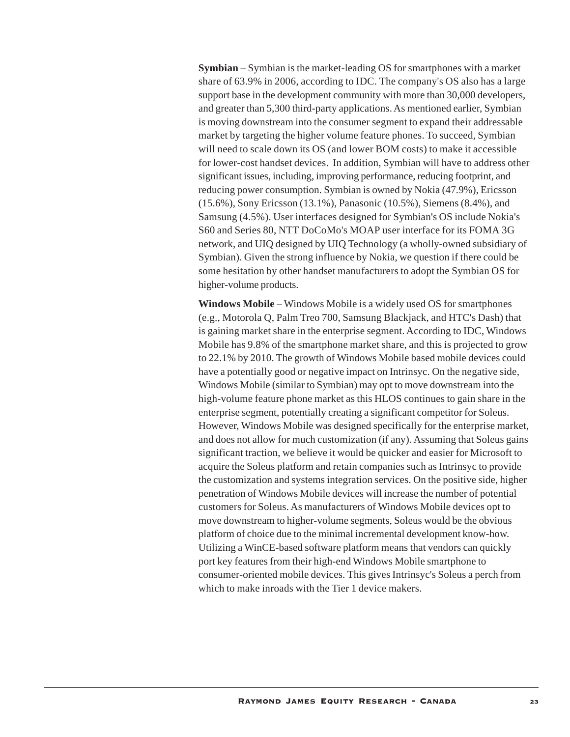**Symbian** – Symbian is the market-leading OS for smartphones with a market share of 63.9% in 2006, according to IDC. The company's OS also has a large support base in the development community with more than 30,000 developers, and greater than 5,300 third-party applications. As mentioned earlier, Symbian is moving downstream into the consumer segment to expand their addressable market by targeting the higher volume feature phones. To succeed, Symbian will need to scale down its OS (and lower BOM costs) to make it accessible for lower-cost handset devices. In addition, Symbian will have to address other significant issues, including, improving performance, reducing footprint, and reducing power consumption. Symbian is owned by Nokia (47.9%), Ericsson (15.6%), Sony Ericsson (13.1%), Panasonic (10.5%), Siemens (8.4%), and Samsung (4.5%). User interfaces designed for Symbian's OS include Nokia's S60 and Series 80, NTT DoCoMo's MOAP user interface for its FOMA 3G network, and UIQ designed by UIQ Technology (a wholly-owned subsidiary of Symbian). Given the strong influence by Nokia, we question if there could be some hesitation by other handset manufacturers to adopt the Symbian OS for higher-volume products.

**Windows Mobile** – Windows Mobile is a widely used OS for smartphones (e.g., Motorola Q, Palm Treo 700, Samsung Blackjack, and HTC's Dash) that is gaining market share in the enterprise segment. According to IDC, Windows Mobile has 9.8% of the smartphone market share, and this is projected to grow to 22.1% by 2010. The growth of Windows Mobile based mobile devices could have a potentially good or negative impact on Intrinsyc. On the negative side, Windows Mobile (similar to Symbian) may opt to move downstream into the high-volume feature phone market as this HLOS continues to gain share in the enterprise segment, potentially creating a significant competitor for Soleus. However, Windows Mobile was designed specifically for the enterprise market, and does not allow for much customization (if any). Assuming that Soleus gains significant traction, we believe it would be quicker and easier for Microsoft to acquire the Soleus platform and retain companies such as Intrinsyc to provide the customization and systems integration services. On the positive side, higher penetration of Windows Mobile devices will increase the number of potential customers for Soleus. As manufacturers of Windows Mobile devices opt to move downstream to higher-volume segments, Soleus would be the obvious platform of choice due to the minimal incremental development know-how. Utilizing a WinCE-based software platform means that vendors can quickly port key features from their high-end Windows Mobile smartphone to consumer-oriented mobile devices. This gives Intrinsyc's Soleus a perch from which to make inroads with the Tier 1 device makers.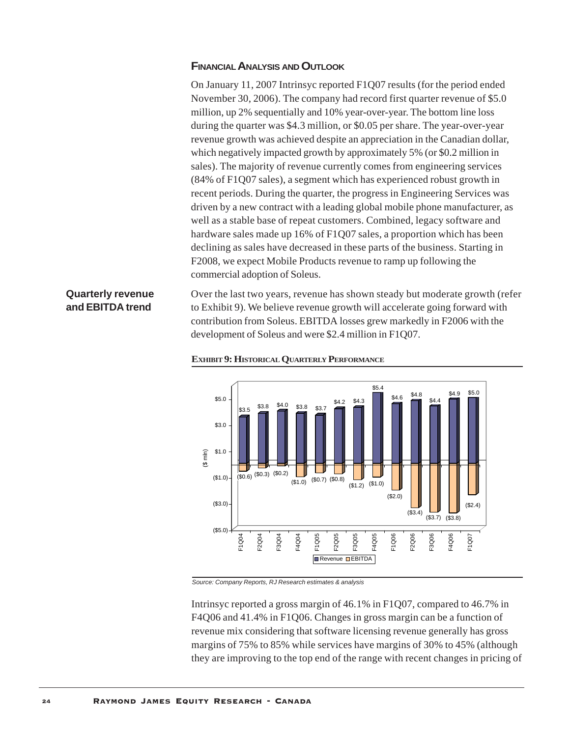## **FINANCIAL ANALYSIS AND OUTLOOK**

On January 11, 2007 Intrinsyc reported F1Q07 results (for the period ended November 30, 2006). The company had record first quarter revenue of \$5.0 million, up 2% sequentially and 10% year-over-year. The bottom line loss during the quarter was \$4.3 million, or \$0.05 per share. The year-over-year revenue growth was achieved despite an appreciation in the Canadian dollar, which negatively impacted growth by approximately 5% (or \$0.2 million in sales). The majority of revenue currently comes from engineering services (84% of F1Q07 sales), a segment which has experienced robust growth in recent periods. During the quarter, the progress in Engineering Services was driven by a new contract with a leading global mobile phone manufacturer, as well as a stable base of repeat customers. Combined, legacy software and hardware sales made up 16% of F1Q07 sales, a proportion which has been declining as sales have decreased in these parts of the business. Starting in F2008, we expect Mobile Products revenue to ramp up following the commercial adoption of Soleus.

# **Quarterly revenue and EBITDA trend**

Over the last two years, revenue has shown steady but moderate growth (refer to Exhibit 9). We believe revenue growth will accelerate going forward with contribution from Soleus. EBITDA losses grew markedly in F2006 with the development of Soleus and were \$2.4 million in F1Q07.



#### **EXHIBIT 9: HISTORICAL QUARTERLY PERFORMANCE**

*Source: Company Reports, RJ Research estimates & analysis*

Intrinsyc reported a gross margin of 46.1% in F1Q07, compared to 46.7% in F4Q06 and 41.4% in F1Q06. Changes in gross margin can be a function of revenue mix considering that software licensing revenue generally has gross margins of 75% to 85% while services have margins of 30% to 45% (although they are improving to the top end of the range with recent changes in pricing of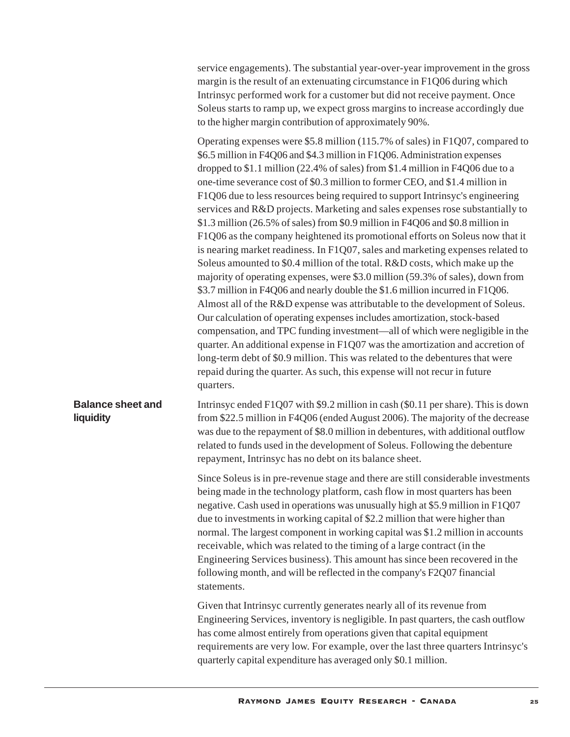| service engagements). The substantial year-over-year improvement in the gross |
|-------------------------------------------------------------------------------|
| margin is the result of an extenuating circumstance in F1Q06 during which     |
| Intrinsice performed work for a customer but did not receive payment. Once    |
| Soleus starts to ramp up, we expect gross margins to increase accordingly due |
| to the higher margin contribution of approximately 90%.                       |

Operating expenses were \$5.8 million (115.7% of sales) in F1Q07, compared to \$6.5 million in F4Q06 and \$4.3 million in F1Q06. Administration expenses dropped to \$1.1 million (22.4% of sales) from \$1.4 million in F4Q06 due to a one-time severance cost of \$0.3 million to former CEO, and \$1.4 million in F1Q06 due to less resources being required to support Intrinsyc's engineering services and R&D projects. Marketing and sales expenses rose substantially to \$1.3 million (26.5% of sales) from \$0.9 million in F4Q06 and \$0.8 million in F1Q06 as the company heightened its promotional efforts on Soleus now that it is nearing market readiness. In F1Q07, sales and marketing expenses related to Soleus amounted to \$0.4 million of the total. R&D costs, which make up the majority of operating expenses, were \$3.0 million (59.3% of sales), down from \$3.7 million in F4Q06 and nearly double the \$1.6 million incurred in F1Q06. Almost all of the R&D expense was attributable to the development of Soleus. Our calculation of operating expenses includes amortization, stock-based compensation, and TPC funding investment—all of which were negligible in the quarter. An additional expense in F1Q07 was the amortization and accretion of long-term debt of \$0.9 million. This was related to the debentures that were repaid during the quarter. As such, this expense will not recur in future quarters.

**Balance sheet and liquidity** Intrinsyc ended F1Q07 with \$9.2 million in cash (\$0.11 per share). This is down from \$22.5 million in F4Q06 (ended August 2006). The majority of the decrease was due to the repayment of \$8.0 million in debentures, with additional outflow related to funds used in the development of Soleus. Following the debenture repayment, Intrinsyc has no debt on its balance sheet.

> Since Soleus is in pre-revenue stage and there are still considerable investments being made in the technology platform, cash flow in most quarters has been negative. Cash used in operations was unusually high at \$5.9 million in F1Q07 due to investments in working capital of \$2.2 million that were higher than normal. The largest component in working capital was \$1.2 million in accounts receivable, which was related to the timing of a large contract (in the Engineering Services business). This amount has since been recovered in the following month, and will be reflected in the company's F2Q07 financial statements.

> Given that Intrinsyc currently generates nearly all of its revenue from Engineering Services, inventory is negligible. In past quarters, the cash outflow has come almost entirely from operations given that capital equipment requirements are very low. For example, over the last three quarters Intrinsyc's quarterly capital expenditure has averaged only \$0.1 million.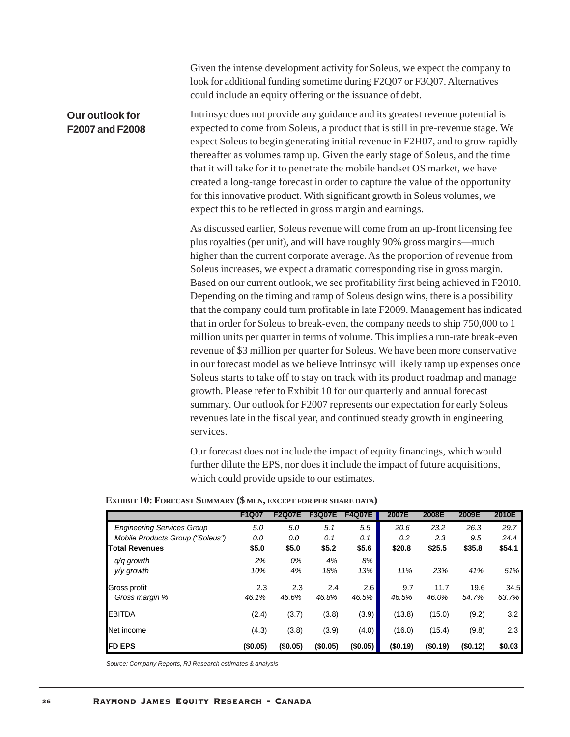|                                    | Given the intense development activity for Soleus, we expect the company to<br>look for additional funding sometime during F2Q07 or F3Q07. Alternatives<br>could include an equity offering or the issuance of debt.                                                                                                                                                                                                                                                                                                                                                                                                                                                                                                                                                                                                                                                                                                                                                                                                                                                                                                                                                                                                                                               |
|------------------------------------|--------------------------------------------------------------------------------------------------------------------------------------------------------------------------------------------------------------------------------------------------------------------------------------------------------------------------------------------------------------------------------------------------------------------------------------------------------------------------------------------------------------------------------------------------------------------------------------------------------------------------------------------------------------------------------------------------------------------------------------------------------------------------------------------------------------------------------------------------------------------------------------------------------------------------------------------------------------------------------------------------------------------------------------------------------------------------------------------------------------------------------------------------------------------------------------------------------------------------------------------------------------------|
| Our outlook for<br>F2007 and F2008 | Intrinsyc does not provide any guidance and its greatest revenue potential is<br>expected to come from Soleus, a product that is still in pre-revenue stage. We<br>expect Soleus to begin generating initial revenue in F2H07, and to grow rapidly<br>thereafter as volumes ramp up. Given the early stage of Soleus, and the time<br>that it will take for it to penetrate the mobile handset OS market, we have<br>created a long-range forecast in order to capture the value of the opportunity<br>for this innovative product. With significant growth in Soleus volumes, we<br>expect this to be reflected in gross margin and earnings.                                                                                                                                                                                                                                                                                                                                                                                                                                                                                                                                                                                                                     |
|                                    | As discussed earlier, Soleus revenue will come from an up-front licensing fee<br>plus royalties (per unit), and will have roughly 90% gross margins—much<br>higher than the current corporate average. As the proportion of revenue from<br>Soleus increases, we expect a dramatic corresponding rise in gross margin.<br>Based on our current outlook, we see profitability first being achieved in F2010.<br>Depending on the timing and ramp of Soleus design wins, there is a possibility<br>that the company could turn profitable in late F2009. Management has indicated<br>that in order for Soleus to break-even, the company needs to ship 750,000 to 1<br>million units per quarter in terms of volume. This implies a run-rate break-even<br>revenue of \$3 million per quarter for Soleus. We have been more conservative<br>in our forecast model as we believe Intrinsyc will likely ramp up expenses once<br>Soleus starts to take off to stay on track with its product roadmap and manage<br>growth. Please refer to Exhibit 10 for our quarterly and annual forecast<br>summary. Our outlook for F2007 represents our expectation for early Soleus<br>revenues late in the fiscal year, and continued steady growth in engineering<br>services. |

Our forecast does not include the impact of equity financings, which would further dilute the EPS, nor does it include the impact of future acquisitions, which could provide upside to our estimates.

|                                   | F1Q07   | <b>F2Q07E</b> | <b>F3Q07E</b> | <b>F4Q07E</b> | 2007E   | 2008E    | 2009E   | 2010E  |
|-----------------------------------|---------|---------------|---------------|---------------|---------|----------|---------|--------|
| <b>Engineering Services Group</b> | 5.0     | 5.0           | 5.1           | 5.5           | 20.6    | 23.2     | 26.3    | 29.7   |
| Mobile Products Group ("Soleus")  | 0.0     | 0.0           | 0.1           | 0.1           | 0.2     | 2.3      | 9.5     | 24.4   |
| <b>Total Revenues</b>             | \$5.0   | \$5.0         | \$5.2         | \$5.6         | \$20.8  | \$25.5   | \$35.8  | \$54.1 |
| $q/q$ growth                      | 2%      | 0%            | 4%            | 8%            |         |          |         |        |
| y/y growth                        | 10%     | 4%            | 18%           | 13%           | 11%     | 23%      | 41%     | 51%    |
| Gross profit                      | 2.3     | 2.3           | 2.4           | 2.6           | 9.7     | 11.7     | 19.6    | 34.5   |
| Gross margin %                    | 46.1%   | 46.6%         | 46.8%         | 46.5%         | 46.5%   | 46.0%    | 54.7%   | 63.7%  |
| <b>EBITDA</b>                     | (2.4)   | (3.7)         | (3.8)         | (3.9)         | (13.8)  | (15.0)   | (9.2)   | 3.2    |
| Net income                        | (4.3)   | (3.8)         | (3.9)         | (4.0)         | (16.0)  | (15.4)   | (9.8)   | 2.3    |
| <b>IFD EPS</b>                    | (S0.05) | (S0.05)       | (\$0.05)      | (S0.05)       | (S0.19) | (\$0.19) | (S0.12) | \$0.03 |

## **EXHIBIT 10: FORECAST SUMMARY (\$ MLN, EXCEPT FOR PER SHARE DATA)**

*Source: Company Reports, RJ Research estimates & analysis*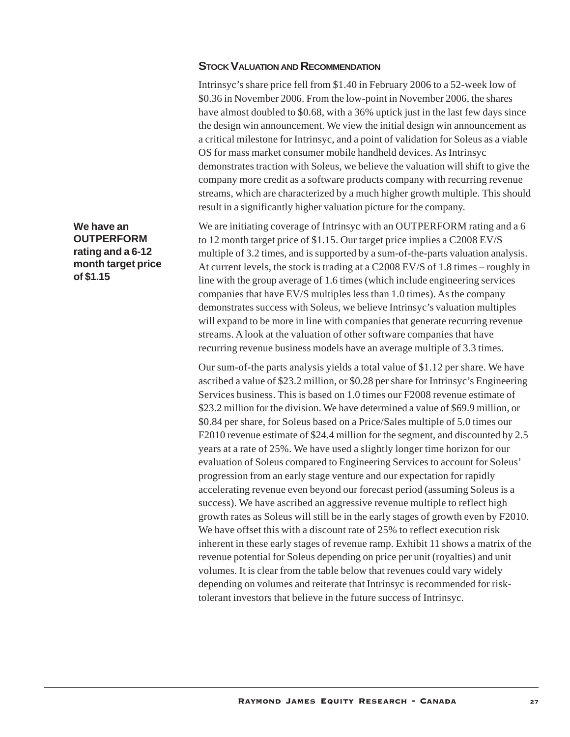## **STOCK VALUATION AND RECOMMENDATION**

Intrinsyc's share price fell from \$1.40 in February 2006 to a 52-week low of \$0.36 in November 2006. From the low-point in November 2006, the shares have almost doubled to \$0.68, with a 36% uptick just in the last few days since the design win announcement. We view the initial design win announcement as a critical milestone for Intrinsyc, and a point of validation for Soleus as a viable OS for mass market consumer mobile handheld devices. As Intrinsyc demonstrates traction with Soleus, we believe the valuation will shift to give the company more credit as a software products company with recurring revenue streams, which are characterized by a much higher growth multiple. This should result in a significantly higher valuation picture for the company.

We are initiating coverage of Intrinsyc with an OUTPERFORM rating and a 6 to 12 month target price of \$1.15. Our target price implies a C2008 EV/S multiple of 3.2 times, and is supported by a sum-of-the-parts valuation analysis. At current levels, the stock is trading at a C2008 EV/S of 1.8 times – roughly in line with the group average of 1.6 times (which include engineering services companies that have EV/S multiples less than 1.0 times). As the company demonstrates success with Soleus, we believe Intrinsyc's valuation multiples will expand to be more in line with companies that generate recurring revenue streams. A look at the valuation of other software companies that have recurring revenue business models have an average multiple of 3.3 times.

Our sum-of-the parts analysis yields a total value of \$1.12 per share. We have ascribed a value of \$23.2 million, or \$0.28 per share for Intrinsyc's Engineering Services business. This is based on 1.0 times our F2008 revenue estimate of \$23.2 million for the division. We have determined a value of \$69.9 million, or \$0.84 per share, for Soleus based on a Price/Sales multiple of 5.0 times our F2010 revenue estimate of \$24.4 million for the segment, and discounted by 2.5 years at a rate of 25%. We have used a slightly longer time horizon for our evaluation of Soleus compared to Engineering Services to account for Soleus' progression from an early stage venture and our expectation for rapidly accelerating revenue even beyond our forecast period (assuming Soleus is a success). We have ascribed an aggressive revenue multiple to reflect high growth rates as Soleus will still be in the early stages of growth even by F2010. We have offset this with a discount rate of 25% to reflect execution risk inherent in these early stages of revenue ramp. Exhibit 11 shows a matrix of the revenue potential for Soleus depending on price per unit (royalties) and unit volumes. It is clear from the table below that revenues could vary widely depending on volumes and reiterate that Intrinsyc is recommended for risktolerant investors that believe in the future success of Intrinsyc.

**We have an OUTPERFORM rating and a 6-12 month target price of \$1.15**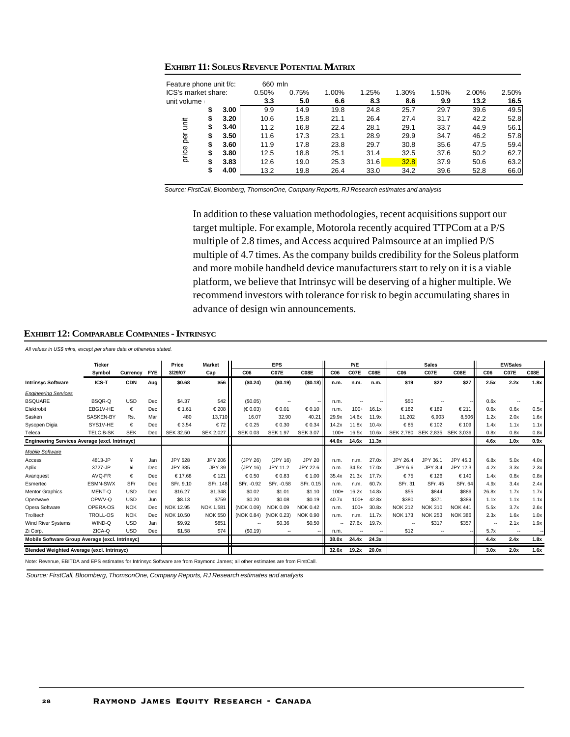| Feature phone unit f/c: |    |      | 660 mln |       |       |       |       |       |       |       |
|-------------------------|----|------|---------|-------|-------|-------|-------|-------|-------|-------|
| ICS's market share:     |    |      | 0.50%   | 0.75% | 1.00% | 1.25% | 1.30% | 1.50% | 2.00% | 2.50% |
| unit volume             |    |      | 3.3     | 5.0   | 6.6   | 8.3   | 8.6   | 9.9   | 13.2  | 16.5  |
|                         | \$ | 3.00 | 9.9     | 14.9  | 19.8  | 24.8  | 25.7  | 29.7  | 39.6  | 49.5  |
|                         | S  | 3.20 | 10.6    | 15.8  | 21.1  | 26.4  | 27.4  | 31.7  | 42.2  | 52.8  |
| init                    | \$ | 3.40 | 11.2    | 16.8  | 22.4  | 28.1  | 29.1  | 33.7  | 44.9  | 56.1  |
| per                     | \$ | 3.50 | 11.6    | 17.3  | 23.1  | 28.9  | 29.9  | 34.7  | 46.2  | 57.8  |
|                         | \$ | 3.60 | 11.9    | 17.8  | 23.8  | 29.7  | 30.8  | 35.6  | 47.5  | 59.4  |
| price                   | S  | 3.80 | 12.5    | 18.8  | 25.1  | 31.4  | 32.5  | 37.6  | 50.2  | 62.7  |
|                         | \$ | 3.83 | 12.6    | 19.0  | 25.3  | 31.6  | 32.8  | 37.9  | 50.6  | 63.2  |
|                         | \$ | 4.00 | 13.2    | 19.8  | 26.4  | 33.0  | 34.2  | 39.6  | 52.8  | 66.0  |

**EXHIBIT 11: SOLEUS REVENUE POTENTIAL MATRIX**

*Source: FirstCall, Bloomberg, ThomsonOne, Company Reports, RJ Research estimates and analysis*

In addition to these valuation methodologies, recent acquisitions support our target multiple. For example, Motorola recently acquired TTPCom at a P/S multiple of 2.8 times, and Access acquired Palmsource at an implied P/S multiple of 4.7 times. As the company builds credibility for the Soleus platform and more mobile handheld device manufacturers start to rely on it is a viable platform, we believe that Intrinsyc will be deserving of a higher multiple. We recommend investors with tolerance for risk to begin accumulating shares in advance of design win announcements.

| EXHIBIT 12: COMPARABLE COMPANIES - INTRINSYC |  |
|----------------------------------------------|--|
|----------------------------------------------|--|

*All values in US\$ mlns, except per share data or otherwise stated.*

|                                                   | <b>Ticker</b>   |            |            | Price            | <b>Market</b>    |                 | <b>EPS</b>               |                 |                          | P/E              |       |                 | <b>Sales</b>             |                |                 | <b>EV/Sales</b>          |        |
|---------------------------------------------------|-----------------|------------|------------|------------------|------------------|-----------------|--------------------------|-----------------|--------------------------|------------------|-------|-----------------|--------------------------|----------------|-----------------|--------------------------|--------|
|                                                   | Symbol          | Currency   | <b>FYE</b> | 3/29/07          | Cap              | C06             | C <sub>07</sub> E        | C08E            | C <sub>06</sub>          | C <sub>07E</sub> | C08E  | C <sub>06</sub> | C <sub>07</sub> E        | C08E           | C <sub>06</sub> | C <sub>07</sub> E        | C08E   |
| <b>Intrinsyc Software</b>                         | ICS-T           | <b>CDN</b> | Aug        | \$0.68           | \$56             | (S0.24)         | (S0.19)                  | (S0.18)         | n.m.                     | n.m.             | n.m.  | \$19            | \$22                     | \$27           | 2.5x            | 2.2x                     | 1.8x   |
| <b>Engineering Services</b>                       |                 |            |            |                  |                  |                 |                          |                 |                          |                  |       |                 |                          |                |                 |                          |        |
| <b>BSQUARE</b>                                    | BSQR-Q          | <b>USD</b> | Dec        | \$4.37           | \$42             | (\$0.05)        | $\overline{\phantom{a}}$ |                 | n.m.                     | ۰.               |       | \$50            | $\overline{\phantom{a}}$ |                | 0.6x            |                          |        |
| Elektrobit                                        | EBG1V-HE        | €          | Dec        | € 1.61           | €208             | (E0.03)         | € 0.01                   | € 0.10          | n.m.                     | $100+$           | 16.1x | €182            | €189                     | €211           | 0.6x            | 0.6x                     | 0.5x   |
| Sasken                                            | SASKEN-BY       | Rs.        | Mar        | 480              | 13.710           | 16.07           | 32.90                    | 40.21           | 29.9x                    | 14.6x            | 11.9x | 11.202          | 6.903                    | 8.506          | 1.2x            | 2.0x                     | 1.6x   |
| Sysopen Digia                                     | SYS1V-HE        | €          | Dec        | € 3.54           | €72              | €0.25           | € 0.30                   | € 0.34          | 14.2x                    | 11.8x            | 10.4x | €85             | €102                     | € 109          | 1.4x            | 1.1x                     | 1.1x   |
| Teleca                                            | TELC.B-SK       | <b>SEK</b> | Dec        | <b>SEK 32.50</b> | <b>SEK 2,027</b> | <b>SEK 0.03</b> | <b>SEK 1.97</b>          | <b>SEK 3.07</b> | $100+$                   | 16.5x            | 10.6x | SEK 2,780       | SEK 2,835                | SEK 3,036      | 0.8x            | 0.8x                     | 0.8x   |
| Engineering Services Average (excl. Intrinsyc)    |                 |            |            |                  |                  |                 |                          |                 | 44.0x                    | 14.6x            | 11.3x |                 |                          |                | 4.6x            | 1.0x                     | 0.9x   |
| Mobile Software                                   |                 |            |            |                  |                  |                 |                          |                 |                          |                  |       |                 |                          |                |                 |                          |        |
| Access                                            | 4813-JP         | ¥          | Jan        | <b>JPY 528</b>   | <b>JPY 206</b>   | (JPY 26)        | (JPY 16)                 | <b>JPY 20</b>   | n.m.                     | n.m.             | 27.0x | JPY 26.4        | JPY 36.1                 | JPY 45.3       | 6.8x            | 5.0x                     | 4.0x   |
| Aplix                                             | 3727-JP         | ¥          | Dec        | JPY 385          | <b>JPY 39</b>    | (JPY 16)        | JPY 11.2                 | JPY 22.6        | n.m.                     | 34.5x            | 17.0x | JPY 6.6         | <b>JPY 8.4</b>           | JPY 12.3       | 4.2x            | 3.3x                     | 2.3x   |
| Avanquest                                         | AVQ-FR          | €          | Dec        | € 17.68          | € 121            | € 0.50          | €0.83                    | €1.00           | 35.4x                    | 21.3x            | 17.7x | €75             | €126                     | € 140          | 1.4x            | 0.8x                     | 0.8x   |
| Esmertec                                          | <b>ESMN-SWX</b> | SFr        | Dec        | SFr. 9.10        | SFr. 148         | SFr. - 0.92     | SFr. - 0.58              | SFr. 0.15       | n.m.                     | n.m.             | 60.7x | SFr. 31         | SFr. 45                  | SFr. 64        | 4.9x            | 3.4x                     | 2.4x   |
| <b>Mentor Graphics</b>                            | MENT-Q          | <b>USD</b> | Dec        | \$16.27          | \$1,348          | \$0.02          | \$1.01                   | \$1.10          | $100+$                   | 16.2x            | 14.8x | \$55            | \$844                    | \$886          | 26.8x           | 1.7x                     | 1.7x   |
| Openwave                                          | OPWV-Q          | <b>USD</b> | Jun        | \$8.13           | \$759            | \$0.20          | \$0.08                   | \$0.19          | 40.7x                    | $100+$           | 42.8x | \$380           | \$371                    | \$389          | 1.1x            | 1.1x                     | 1.1x   |
| Opera Software                                    | OPERA-OS        | <b>NOK</b> | Dec        | NOK 12.95        | <b>NOK 1.581</b> | (NOK 0.09)      | <b>NOK 0.09</b>          | <b>NOK 0.42</b> | n.m.                     | $100+$           | 30.8x | <b>NOK 212</b>  | <b>NOK 310</b>           | <b>NOK 441</b> | 5.5x            | 3.7x                     | 2.6x   |
| Trolltech                                         | <b>TROLL-OS</b> | <b>NOK</b> | Dec        | NOK 10.50        | <b>NOK 550</b>   | (NOK 0.84)      | (NOK 0.23)               | <b>NOK 0.90</b> | n.m.                     | n.m.             | 11.7x | <b>NOK 173</b>  | <b>NOK 253</b>           | <b>NOK 386</b> | 2.3x            | 1.6x                     | 1.0x   |
| Wind River Systems                                | WIND-Q          | <b>USD</b> | Jan        | \$9.92           | \$851            |                 | \$0.36                   | \$0.50          | $\overline{\phantom{a}}$ | 27.6x            | 19.7x |                 | \$317                    | \$357          | $\sim$          | 2.1x                     | 1.9x   |
| Zi Corp.                                          | ZICA-Q          | <b>USD</b> | Dec        | \$1.58           | \$74             | (S0.19)         | $\overline{a}$           |                 | n.m.                     | ٠.               |       | \$12            | $\overline{a}$           |                | 5.7x            | $\overline{\phantom{a}}$ | $\sim$ |
| Mobile Software Group Average (excl. Intrinsyc)   |                 |            |            |                  | - -              |                 |                          |                 | 38.0x                    | 24.4x            | 24.3x |                 |                          |                | 4.4x            | 2.4x                     | 1.8x   |
| <b>Blended Weighted Average (excl. Intrinsyc)</b> |                 |            |            |                  |                  |                 |                          |                 | 32.6x                    | 19.2x            | 20.0x |                 |                          |                | 3.0x            | 2.0x                     | 1.6x   |

Note: Revenue, EBITDA and EPS estimates for Intrinsyc Software are from Raymond James; all other estimates are from FirstCall.

*Source: FirstCall, Bloomberg, ThomsonOne, Company Reports, RJ Research estimates and analysis*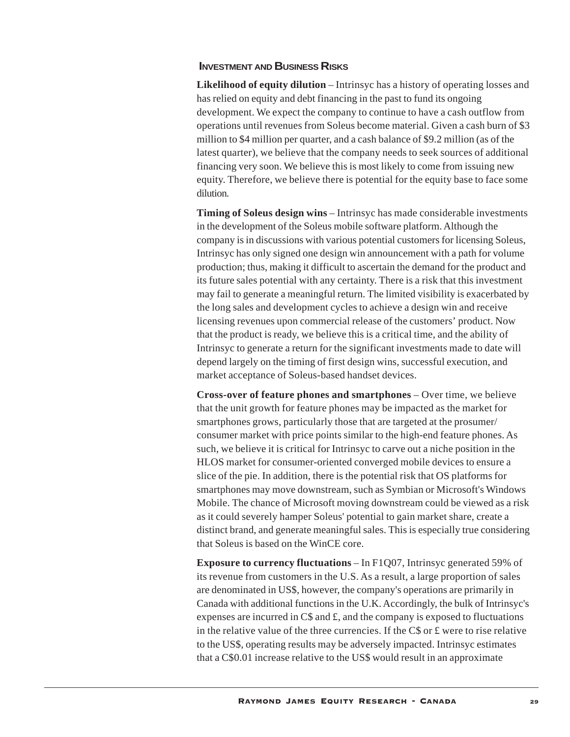## **INVESTMENT AND BUSINESS RISKS**

**Likelihood of equity dilution** – Intrinsyc has a history of operating losses and has relied on equity and debt financing in the past to fund its ongoing development. We expect the company to continue to have a cash outflow from operations until revenues from Soleus become material. Given a cash burn of \$3 million to \$4 million per quarter, and a cash balance of \$9.2 million (as of the latest quarter), we believe that the company needs to seek sources of additional financing very soon. We believe this is most likely to come from issuing new equity. Therefore, we believe there is potential for the equity base to face some dilution.

**Timing of Soleus design wins** – Intrinsyc has made considerable investments in the development of the Soleus mobile software platform. Although the company is in discussions with various potential customers for licensing Soleus, Intrinsyc has only signed one design win announcement with a path for volume production; thus, making it difficult to ascertain the demand for the product and its future sales potential with any certainty. There is a risk that this investment may fail to generate a meaningful return. The limited visibility is exacerbated by the long sales and development cycles to achieve a design win and receive licensing revenues upon commercial release of the customers' product. Now that the product is ready, we believe this is a critical time, and the ability of Intrinsyc to generate a return for the significant investments made to date will depend largely on the timing of first design wins, successful execution, and market acceptance of Soleus-based handset devices.

**Cross-over of feature phones and smartphones** – Over time, we believe that the unit growth for feature phones may be impacted as the market for smartphones grows, particularly those that are targeted at the prosumer/ consumer market with price points similar to the high-end feature phones. As such, we believe it is critical for Intrinsyc to carve out a niche position in the HLOS market for consumer-oriented converged mobile devices to ensure a slice of the pie. In addition, there is the potential risk that OS platforms for smartphones may move downstream, such as Symbian or Microsoft's Windows Mobile. The chance of Microsoft moving downstream could be viewed as a risk as it could severely hamper Soleus' potential to gain market share, create a distinct brand, and generate meaningful sales. This is especially true considering that Soleus is based on the WinCE core.

**Exposure to currency fluctuations** – In F1Q07, Intrinsyc generated 59% of its revenue from customers in the U.S. As a result, a large proportion of sales are denominated in US\$, however, the company's operations are primarily in Canada with additional functions in the U.K. Accordingly, the bulk of Intrinsyc's expenses are incurred in  $\mathbb{C}\$  and  $\mathcal{L}$ , and the company is exposed to fluctuations in the relative value of the three currencies. If the  $CS$  or  $\pounds$  were to rise relative to the US\$, operating results may be adversely impacted. Intrinsyc estimates that a C\$0.01 increase relative to the US\$ would result in an approximate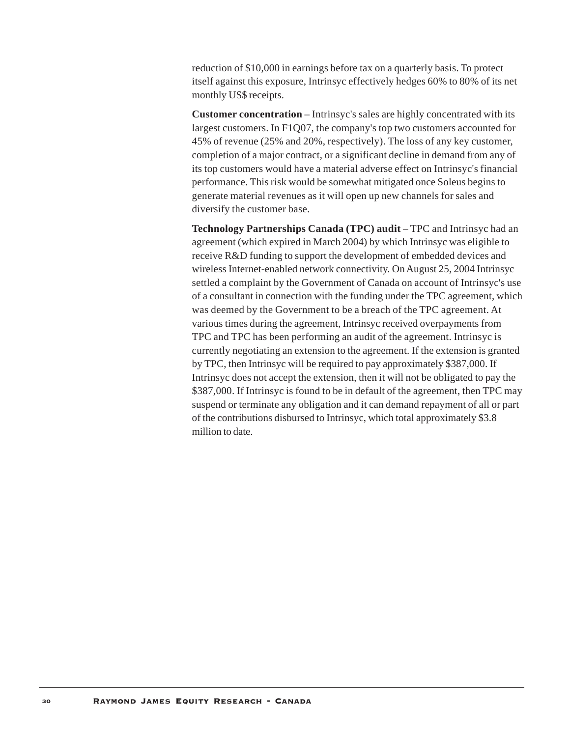reduction of \$10,000 in earnings before tax on a quarterly basis. To protect itself against this exposure, Intrinsyc effectively hedges 60% to 80% of its net monthly US\$ receipts.

**Customer concentration** – Intrinsyc's sales are highly concentrated with its largest customers. In F1Q07, the company's top two customers accounted for 45% of revenue (25% and 20%, respectively). The loss of any key customer, completion of a major contract, or a significant decline in demand from any of its top customers would have a material adverse effect on Intrinsyc's financial performance. This risk would be somewhat mitigated once Soleus begins to generate material revenues as it will open up new channels for sales and diversify the customer base.

**Technology Partnerships Canada (TPC) audit** – TPC and Intrinsyc had an agreement (which expired in March 2004) by which Intrinsyc was eligible to receive R&D funding to support the development of embedded devices and wireless Internet-enabled network connectivity. On August 25, 2004 Intrinsyc settled a complaint by the Government of Canada on account of Intrinsyc's use of a consultant in connection with the funding under the TPC agreement, which was deemed by the Government to be a breach of the TPC agreement. At various times during the agreement, Intrinsyc received overpayments from TPC and TPC has been performing an audit of the agreement. Intrinsyc is currently negotiating an extension to the agreement. If the extension is granted by TPC, then Intrinsyc will be required to pay approximately \$387,000. If Intrinsyc does not accept the extension, then it will not be obligated to pay the \$387,000. If Intrinsyc is found to be in default of the agreement, then TPC may suspend or terminate any obligation and it can demand repayment of all or part of the contributions disbursed to Intrinsyc, which total approximately \$3.8 million to date.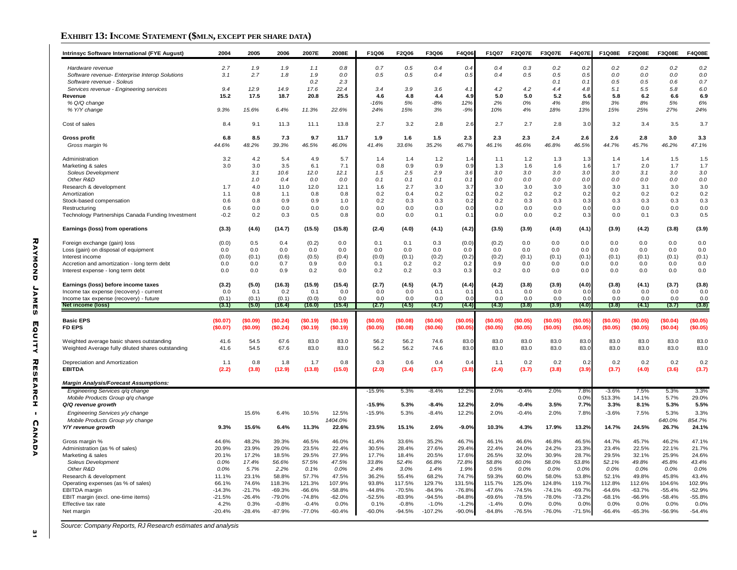## **EXHIBIT 13: INCOME STATEMENT (\$MLN, EXCEPT PER SHARE DATA)**

| Intrinsyc Software International (FYE August)                       | 2004              | 2005              | 2006                | 2007E               | 2008E              | F1Q06             | F2Q06               | F3Q06                | F4Q06               | F1Q07               | <b>F2Q07E</b>      | <b>F3Q07E</b>      | <b>F4Q07E</b>      | <b>F1Q08E</b>      | <b>F2Q08E</b>      | <b>F3Q08E</b>      | <b>F4Q08E</b>      |
|---------------------------------------------------------------------|-------------------|-------------------|---------------------|---------------------|--------------------|-------------------|---------------------|----------------------|---------------------|---------------------|--------------------|--------------------|--------------------|--------------------|--------------------|--------------------|--------------------|
| Hardware revenue                                                    | 2.7               | 1.9               | 1.9                 | 1.1                 | 0.8                | 0.7               | 0.5                 | 0.4                  | 0.4                 | 0.4                 | 0.3                | 0.2                | 0.2                | 0.2                | 0.2                | 0.2                | 0.2                |
| Software revenue- Enterprise Interop Solutions                      | 3.1               | 2.7               | 1.8                 | 1.9                 | 0.0                | 0.5               | 0.5                 | 0.4                  | 0.5                 | 0.4                 | 0.5                | 0.5                | 0.5                | 0.0                | 0.0                | 0.0                | 0.0                |
| Software revenue - Soleus                                           |                   |                   |                     | 0.2                 | 2.3                |                   |                     |                      |                     |                     |                    | 0.1                | 0.1                | 0.5                | 0.5                | 0.6                | 0.7                |
| Services revenue - Engineering services<br>Revenue                  | 9.4<br>15.2       | 12.9<br>17.5      | 14.9<br>18.7        | 17.6<br>20.8        | 22.4<br>25.5       | 3.4<br>4.6        | 3.9<br>4.8          | 3.6<br>4.4           | 4.1<br>4.9          | 4.2<br>5.0          | 4.2<br>5.0         | 4.4<br>5.2         | 4.8<br>5.6         | 5.1<br>5.8         | 5.5<br>6.2         | 5.8<br>6.6         | 6.0<br>6.9         |
| % Q/Q change                                                        |                   |                   |                     |                     |                    | $-16%$            | 5%                  | $-8%$                | 12%                 | 2%                  | 0%                 | 4%                 | R <sup>o</sup>     | 3%                 | 8%                 | 5%                 | 6%                 |
| % Y/Y change                                                        | 9.3%              | 15.6%             | 6.4%                | 11.3%               | 22.6%              | 24%               | 15%                 | 3%                   | $-9%$               | 10%                 | 4%                 | 18%                | 13%                | 15%                | 25%                | 27%                | 24%                |
| Cost of sales                                                       | 8.4               | 9.1               | 11.3                | 11.1                | 13.8               | 2.7               | 3.2                 | 2.8                  | 2.6                 | 2.7                 | 2.7                | 2.8                | 3.0                | 3.2                | 3.4                | 3.5                | 3.7                |
| <b>Gross profit</b>                                                 | 6.8               | 8.5               | 7.3                 | 9.7                 | 11.7               | 1.9               | 1.6                 | $1.5$                | 2.3                 | 2.3                 | 2.3                | 2.4                | 2.6                | 2.6                | 2.8                | 3.0                | 3.3                |
| Gross margin %                                                      | 44.6%             | 48.2%             | 39.3%               | 46.5%               | 46.0%              | 41.4%             | 33.6%               | 35.2%                | 46.7%               | 46.1%               | 46.6%              | 46.8%              | 46.5%              | 44.7%              | 45.7%              | 46.2%              | 47.1%              |
| Administration                                                      | 3.2               | 4.2               | 5.4                 | 4.9                 | 5.7                | 1.4               | 1.4                 | 1.2                  | 1.4                 | 1.1                 | 1.2                | 1.3                | 1.3                | 1.4                | 1.4                | 1.5                | 1.5                |
| Marketing & sales                                                   | 3.0               | 3.0               | 3.5                 | 6.1                 | 7.1                | 0.8               | 0.9                 | 0.9                  | 0.9                 | 1.3                 | 1.6                | 1.6                | 1.6                | 1.7                | 2.0                | 1.7                | 1.7                |
| Soleus Development<br>Other R&D                                     |                   | 3.1<br>1.0        | 10.6<br>0.4         | 12.0<br>0.0         | 12.1<br>0.0        | 1.5<br>0.1        | 2.5<br>0.1          | 2.9<br>0.1           | 3.6<br>0.1          | 3.0<br>0.0          | 3.0<br>0.0         | 3.0<br>0.0         | 3.0<br>0.0         | 3.0<br>0.0         | 3.1<br>0.0         | 3.0<br>0.0         | 3.0<br>0.0         |
| Research & development                                              | 1.7               | 4.0               | 11.0                | 12.0                | 12.1               | 1.6               | 2.7                 | 3.0                  | 3.7                 | 3.0                 | 3.0                | 3.0                | 3.0                | 3.0                | 3.1                | 3.0                | 3.0                |
| Amortization                                                        | 1.1               | 0.8               | 1.1                 | 0.8                 | 0.8                | 0.2               | 0.4                 | 0.2                  | 0.2                 | 0.2                 | 0.2                | 0.2                | 0.2                | 0.2                | 0.2                | 0.2                | 0.2                |
| Stock-based compensation                                            | 0.6               | 0.8               | 0.9                 | 0.9                 | 1.0                | 0.2               | 0.3                 | 0.3                  | 0.2                 | 0.2                 | 0.3                | 0.3                | 0.3                | 0.3                | 0.3                | 0.3                | 0.3                |
| Restructuring                                                       | 0.6               | 0.0               | 0.0                 | 0.0                 | 0.0                | 0.0               | 0.0                 | 0.0                  | 0.0                 | 0.0                 | 0.0                | 0.0                | 0. <sub>C</sub>    | 0.0                | 0.0                | 0.0                | 0.0                |
| Technology Partnerships Canada Funding Investment                   | $-0.2$            | 0.2               | 0.3                 | 0.5                 | 0.8                | 0.0               | 0.0                 | 0.1                  | 0.1                 | 0.0                 | 0.0                | 0.2                | 0.3                | 0.0                | 0.1                | 0.3                | 0.5                |
| Earnings (loss) from operations                                     | (3.3)             | (4.6)             | (14.7)              | (15.5)              | (15.8)             | (2.4)             | (4.0)               | (4.1)                | (4.2)               | (3.5)               | (3.9)              | (4.0)              | (4.1)              | (3.9)              | (4.2)              | (3.8)              | (3.9)              |
| Foreign exchange (gain) loss                                        | (0.0)             | 0.5               | 0.4                 | (0.2)               | 0.0                | 0.1               | 0.1                 | 0.3                  | (0.0)               | (0.2)               | 0.0                | 0.0                | 0.0                | 0.0                | 0.0                | 0.0                | 0.0                |
| Loss (gain) on disposal of equipment                                | 0.0               | 0.0               | 0.0                 | 0.0                 | 0.0                | 0.0               | 0.0                 | 0.0                  | 0.0                 | 0.0                 | 0.0                | 0.0                | 0.0                | 0.0                | 0.0                | 0.0                | 0.0                |
| Interest income<br>Accretion and amortization - long term debt      | (0.0)<br>0.0      | (0.1)<br>0.0      | (0.6)<br>0.7        | (0.5)<br>0.9        | (0.4)<br>0.0       | (0.0)<br>0.1      | (0.1)<br>0.2        | (0.2)<br>0.2         | (0.2)<br>0.2        | (0.2)<br>0.9        | (0.1)<br>0.0       | (0.1)<br>0.0       | (0.1)<br>0.0       | (0.1)<br>0.0       | (0.1)<br>0.0       | (0.1)<br>0.0       | (0.1)<br>0.0       |
| Interest expense - long term debt                                   | 0.0               | 0.0               | 0.9                 | 0.2                 | 0.0                | 0.2               | 0.2                 | 0.3                  | 0.3                 | 0.2                 | 0.0                | 0.0                | 0.0                | 0.0                | 0.0                | 0.0                | 0.0                |
|                                                                     |                   |                   |                     |                     | (15.4)             | (2.7)             | (4.5)               | (4.7)                |                     | (4.2)               | (3.8)              | (3.9)              | (4.0)              | (3.8)              | (4.1)              | (3.7)              | (3.8)              |
| Earnings (loss) before income taxes                                 | (3.2)             | (5.0)             | (16.3)              | (15.9)              |                    |                   |                     |                      |                     |                     |                    |                    |                    |                    |                    |                    |                    |
| Income tax expense (recovery) - current                             | 0.0               | 0.1               | 0.2                 | 0.1                 | 0.0                | 0.0               | 0.0                 | 0.1                  | (4.4)<br>0.         | 0.1                 | 0.0                | 0.0                | 0. <sub>C</sub>    | 0.0                | 0.0                | 0.0                | 0.0                |
| Income tax expense (recovery) - future                              | (0.1)             | (0.1)             | (0.1)               | (0.0)               | 0.0                | 0.0               | 0.0                 | 0.0                  | 0.0                 | 0.0                 | 0.0                | 0.0                | 0.0                | 0.0                | 0.0                | 0.0                | 0.0                |
| Net income (loss)                                                   | (3.1)             | (5.0)             | (16.4)              | (16.0)              | (15.4)             | (2.7)             | (4.5)               | (4.7)                | (4.4)               | (4.3)               | (3.8)              | (3.9)              | (4.0)              | (3.8)              | (4.1)              | (3.7)              | (3.8)              |
| <b>Basic EPS</b>                                                    | (\$0.07)          | (\$0.09)          | (\$0.24)            | (\$0.19)            | (\$0.19)           | (\$0.05)          | (\$0.08)            | (\$0.06)             | (\$0.05             | (\$0.05)            | (\$0.05)           | (\$0.05)           | (\$0.05            | (\$0.05)           | (\$0.05)           | (\$0.04)           | (\$0.05)           |
| <b>FD EPS</b>                                                       | (\$0.07)          | (\$0.09)          | (\$0.24)            | (\$0.19)            | (\$0.19)           | (S0.05)           | (\$0.08)            | (\$0.06)             | (\$0.05             | (\$0.05)            | (\$0.05)           | (\$0.05)           | (\$0.05            | (\$0.05)           | (S0.05)            | (\$0.04)           | (\$0.05)           |
| Weighted average basic shares outstanding                           | 41.6              | 54.5              | 67.6                | 83.0                | 83.0               | 56.2              | 56.2                | 74.6                 | 83.0                | 83.0                | 83.0               | 83.0               | 83.0               | 83.0               | 83.0               | 83.0               | 83.C               |
| Weighted Average fully diluted shares outstanding                   | 41.6              | 54.5              | 67.6                | 83.0                | 83.0               | 56.2              | 56.2                | 74.6                 | 83.0                | 83.0                | 83.0               | 83.0               | 83.0               | 83.0               | 83.0               | 83.0               | 83.0               |
| Depreciation and Amortization                                       | 1.1               | 0.8               | 1.8                 | 1.7                 | 0.8                | 0.3               | 0.6                 | 0.4                  | 0.4                 | 1.1                 | 0.2                | 0.2                | 0.2                | 0.2                | 0.2                | 0.2                | 0.2                |
| <b>EBITDA</b>                                                       | (2.2)             | (3.8)             | (12.9)              | (13.8)              | (15.0)             | (2.0)             | (3.4)               | (3.7)                | (3.8)               | (2.4)               | (3.7)              | (3.8)              | (3.9)              | (3.7)              | (4.0)              | (3.6)              | (3.7)              |
| <b>Margin Analysis/Forecast Assumptions:</b>                        |                   |                   |                     |                     |                    |                   |                     |                      |                     |                     |                    |                    |                    |                    |                    |                    |                    |
| Engineering Services g/g change<br>Mobile Products Group q/q change |                   |                   |                     |                     |                    | -15.9%            | 5.3%                | -8.4%                | 12.2%               | $2.0\%$             | -0.4%              | 2.0%               | 7.8%<br>0.0%       | $-3.6%$<br>513.3%  | 7.5%<br>14.1%      | 5.3%<br>5.7%       | 3.3%<br>29.0%      |
| Q/Q revenue growth                                                  |                   |                   |                     |                     |                    | $-15.9%$          | 5.3%                | $-8.4%$              | 12.2%               | 2.0%                | $-0.4%$            | 3.5%               | 7.7%               | 3.3%               | 8.1%               | 5.3%               | 5.5%               |
| Engineering Services y/y change                                     |                   | 15.6%             | 6.4%                | 10.5%               | 12.5%              | $-15.9%$          | 5.3%                | $-8.4%$              | 12.2%               | 2.0%                | $-0.4%$            | 2.0%               | 7.8%               | $-3.6%$            | 7.5%               | 5.3%               | 3.3%               |
| Mobile Products Group y/y change<br>Y/Y revenue growth              | 9.3%              | 15.6%             | 6.4%                | 11.3%               | 1404.0%<br>22.6%   | 23.5%             | 15.1%               | 2.6%                 | $-9.0%$             | 10.3%               | 4.3%               | 17.9%              | 13.2%              | 14.7%              | 24.5%              | 640.0%<br>26.7%    | 854.7%<br>24.1%    |
|                                                                     |                   |                   |                     |                     |                    |                   |                     |                      |                     |                     |                    |                    |                    |                    |                    |                    |                    |
| Gross margin %<br>Administration (as % of sales)                    | 44.6%<br>20.9%    | 48.2%<br>23.9%    | 39.3%<br>29.0%      | 46.5%<br>23.5%      | 46.0%<br>22.4%     | 41.4%<br>30.5%    | 33.6%<br>28.4%      | 35.2%<br>27.6%       | 46.7%<br>29.4%      | 46.1%<br>22.4%      | 46.6%<br>24.0%     | 46.8%<br>24.2%     | 46.5%<br>23.3%     | 44.7%<br>23.4%     | 45.7%<br>22.5%     | 46.2%<br>22.1%     | 47.1%<br>21.7%     |
| Marketing & sales                                                   | 20.1%             | 17.2%             | 18.5%               | 29.5%               | 27.9%              | 17.7%             | 18.4%               | 20.5%                | 17.6%               | 26.5%               | 32.0%              | 30.9%              | 28.7%              | 29.5%              | 32.1%              | 25.9%              | 24.6%              |
| Soleus Development                                                  | 0.0%              | 17.4%             | 56.6%               | 57.5%               | 47.5%              | 33.8%             | 52.4%               | 66.8%                | 72.8%               | 58.8%               | 60.0%              | 58.0%              | 53.8%              | 52.1%              | 49.8%              | 45.8%              | 43.4%              |
| Other R&D                                                           | 0.0%              | 5.7%              | 2.2%                | 0.1%                | 0.0%               | 2.4%              | 3.0%                | 1.4%                 | 1.9%                | 0.5%                | 0.0%               | 0.0%               | 0.0%               | 0.0%               | 0.0%               | 0.0%               | 0.0%               |
| Research & development                                              | 11.1%             | 23.1%             | 58.8%               | 57.7%               | 47.5%              | 36.2%             | 55.4%               | 68.2%                | 74.7%               | 59.3%               | 60.0%              | 58.0%              | 53.8%              | 52.1%              | 49.8%              | 45.8%              | 43.4%              |
| Operating expenses (as % of sales)<br>EBITDA margin                 | 66.1%<br>$-14.3%$ | 74.6%<br>$-21.7%$ | 118.3%<br>$-69.3%$  | 121.3%<br>$-66.6%$  | 107.9%<br>$-58.8%$ | 93.8%<br>$-44.8%$ | 117.5%<br>$-70.5%$  | 129.7%<br>$-84.9%$   | 131.5%<br>$-76.8%$  | 115.7%<br>$-47.6%$  | 125.0%<br>$-74.5%$ | 124.8%<br>$-74.1%$ | 119.7%<br>$-69.7%$ | 112.8%<br>$-64.6%$ | 112.6%<br>$-63.7%$ | 104.6%<br>$-55.4%$ | 102.9%<br>$-52.9%$ |
| EBIT margin (excl. one-time items)                                  | $-21.5%$          | $-26.4%$          | $-79.0%$            | $-74.8%$            | $-62.0%$           | $-52.5%$          | $-83.9%$            | $-94.5%$             | $-84.8%$            | $-69.6%$            | $-78.5%$           | $-78.0%$           | $-73.2%$           | $-68.1%$           | $-66.9%$           | $-58.4%$           | $-55.8%$           |
| Effective tax rate<br>Net margin                                    | 4.2%<br>$-20.4%$  | 0.3%<br>$-28.4%$  | $-0.8%$<br>$-87.9%$ | $-0.4%$<br>$-77.0%$ | 0.0%<br>$-60.4%$   | 0.1%<br>$-60.0%$  | $-0.8%$<br>$-94.5%$ | $-1.0%$<br>$-107.2%$ | $-1.2%$<br>$-90.0%$ | $-1.4%$<br>$-84.8%$ | 0.0%<br>$-76.5%$   | 0.0%<br>$-76.0%$   | 0.0%<br>$-71.5%$   | 0.0%<br>$-66.4%$   | 0.0%<br>$-65.3%$   | 0.0%<br>$-56.9%$   | 0.0%<br>$-54.4%$   |

*Source: Company Reports, RJ Research estimates and analysis*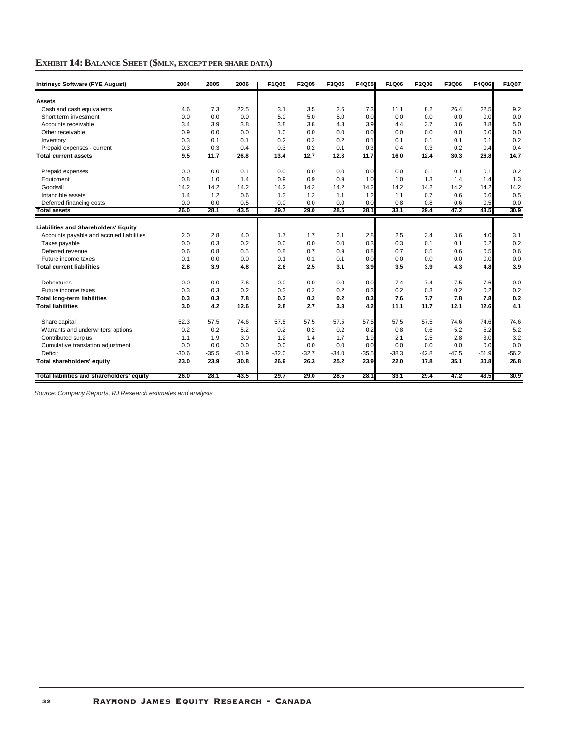## **EXHIBIT 14: BALANCE SHEET (\$MLN, EXCEPT PER SHARE DATA)**

| <b>Intrinsyc Software (FYE August)</b>     | 2004    | 2005    | 2006    | F1Q05   | F2Q05   | F3Q05   | <b>F4Q05</b> | F1Q06   | F2Q06   | F3Q06   | F4Q06   | F1Q07   |
|--------------------------------------------|---------|---------|---------|---------|---------|---------|--------------|---------|---------|---------|---------|---------|
| Assets                                     |         |         |         |         |         |         |              |         |         |         |         |         |
| Cash and cash equivalents                  | 4.6     | 7.3     | 22.5    | 3.1     | 3.5     | 2.6     | 7.3          | 11.1    | 8.2     | 26.4    | 22.5    | 9.2     |
| Short term investment                      | 0.0     | 0.0     | 0.0     | 5.0     | 5.0     | 5.0     | 0.0          | 0.0     | 0.0     | 0.0     | 0.0     | 0.0     |
| Accounts receivable                        | 3.4     | 3.9     | 3.8     | 3.8     | 3.8     | 4.3     | 3.9          | 4.4     | 3.7     | 3.6     | 3.8     | 5.0     |
| Other receivable                           | 0.9     | 0.0     | 0.0     | 1.0     | 0.0     | 0.0     | 0.0          | 0.0     | 0.0     | 0.0     | 0.0     | 0.0     |
| Inventory                                  | 0.3     | 0.1     | 0.1     | 0.2     | 0.2     | 0.2     | 0.1          | 0.1     | 0.1     | 0.1     | 0.1     | 0.2     |
| Prepaid expenses - current                 | 0.3     | 0.3     | 0.4     | 0.3     | 0.2     | 0.1     | 0.3          | 0.4     | 0.3     | 0.2     | 0.4     | 0.4     |
| <b>Total current assets</b>                | 9.5     | 11.7    | 26.8    | 13.4    | 12.7    | 12.3    | 11.7         | 16.0    | 12.4    | 30.3    | 26.8    | 14.7    |
| Prepaid expenses                           | 0.0     | 0.0     | 0.1     | 0.0     | 0.0     | 0.0     | 0.0          | 0.0     | 0.1     | 0.1     | 0.1     | 0.2     |
| Equipment                                  | 0.8     | 1.0     | 1.4     | 0.9     | 0.9     | 0.9     | 1.0          | 1.0     | 1.3     | 1.4     | 1.4     | 1.3     |
| Goodwill                                   | 14.2    | 14.2    | 14.2    | 14.2    | 14.2    | 14.2    | 14.2         | 14.2    | 14.2    | 14.2    | 14.2    | 14.2    |
| Intangible assets                          | 1.4     | 1.2     | 0.6     | 1.3     | 1.2     | 1.1     | 1.2          | 1.1     | 0.7     | 0.6     | 0.6     | 0.5     |
| Deferred financing costs                   | 0.0     | 0.0     | 0.5     | 0.0     | 0.0     | 0.0     | 0.0          | 0.8     | 0.8     | 0.6     | 0.5     | 0.0     |
| <b>Total assets</b>                        | 26.0    | 28.1    | 43.5    | 29.7    | 29.0    | 28.5    | 28.1         | 33.1    | 29.4    | 47.2    | 43.5    | 30.9    |
| Liabilities and Shareholders' Equity       |         |         |         |         |         |         |              |         |         |         |         |         |
| Accounts payable and accrued liabilities   | 2.0     | 2.8     | 4.0     | 1.7     | 1.7     | 2.1     | 2.8          | 2.5     | 3.4     | 3.6     | 4.0     | 3.1     |
| Taxes payable                              | 0.0     | 0.3     | 0.2     | 0.0     | 0.0     | 0.0     | 0.3          | 0.3     | 0.1     | 0.1     | 0.2     | 0.2     |
| Deferred revenue                           | 0.6     | 0.8     | 0.5     | 0.8     | 0.7     | 0.9     | 0.8          | 0.7     | 0.5     | 0.6     | 0.5     | 0.6     |
| Future income taxes                        | 0.1     | 0.0     | 0.0     | 0.1     | 0.1     | 0.1     | 0.0          | 0.0     | 0.0     | 0.0     | 0.0     | 0.0     |
| <b>Total current liabilities</b>           | 2.8     | 3.9     | 4.8     | 2.6     | 2.5     | 3.1     | 3.9          | 3.5     | 3.9     | 4.3     | 4.8     | 3.9     |
| <b>Debentures</b>                          | 0.0     | 0.0     | 7.6     | 0.0     | 0.0     | 0.0     | 0.0          | 7.4     | 7.4     | 7.5     | 7.6     | 0.0     |
| Future income taxes                        | 0.3     | 0.3     | 0.2     | 0.3     | 0.2     | 0.2     | 0.3          | 0.2     | 0.3     | 0.2     | 0.2     | 0.2     |
| <b>Total long-term liabilities</b>         | 0.3     | 0.3     | 7.8     | 0.3     | 0.2     | 0.2     | 0.3          | 7.6     | 7.7     | 7.8     | 7.8     | 0.2     |
| <b>Total liabilities</b>                   | 3.0     | 4.2     | 12.6    | 2.8     | 2.7     | 3.3     | 4.2          | 11.1    | 11.7    | 12.1    | 12.6    | 4.1     |
| Share capital                              | 52.3    | 57.5    | 74.6    | 57.5    | 57.5    | 57.5    | 57.5         | 57.5    | 57.5    | 74.6    | 74.6    | 74.6    |
| Warrants and underwriters' options         | 0.2     | 0.2     | 5.2     | 0.2     | 0.2     | 0.2     | 0.2          | 0.8     | 0.6     | 5.2     | 5.2     | 5.2     |
| Contributed surplus                        | 1.1     | 1.9     | 3.0     | 1.2     | 1.4     | 1.7     | 1.9          | 2.1     | 2.5     | 2.8     | 3.0     | 3.2     |
| Cumulative translation adjustment          | 0.0     | 0.0     | 0.0     | 0.0     | 0.0     | 0.0     | 0.0          | 0.0     | 0.0     | 0.0     | 0.0     | 0.0     |
| Deficit                                    | $-30.6$ | $-35.5$ | $-51.9$ | $-32.0$ | $-32.7$ | $-34.0$ | $-35.5$      | $-38.3$ | $-42.8$ | $-47.5$ | $-51.9$ | $-56.2$ |
| Total shareholders' equity                 | 23.0    | 23.9    | 30.8    | 26.9    | 26.3    | 25.2    | 23.9         | 22.0    | 17.8    | 35.1    | 30.8    | 26.8    |
| Total liabilities and shareholders' equity | 26.0    | 28.1    | 43.5    | 29.7    | 29.0    | 28.5    | 28.1         | 33.1    | 29.4    | 47.2    | 43.5    | 30.9    |

*Source: Company Reports, RJ Research estimates and analysis*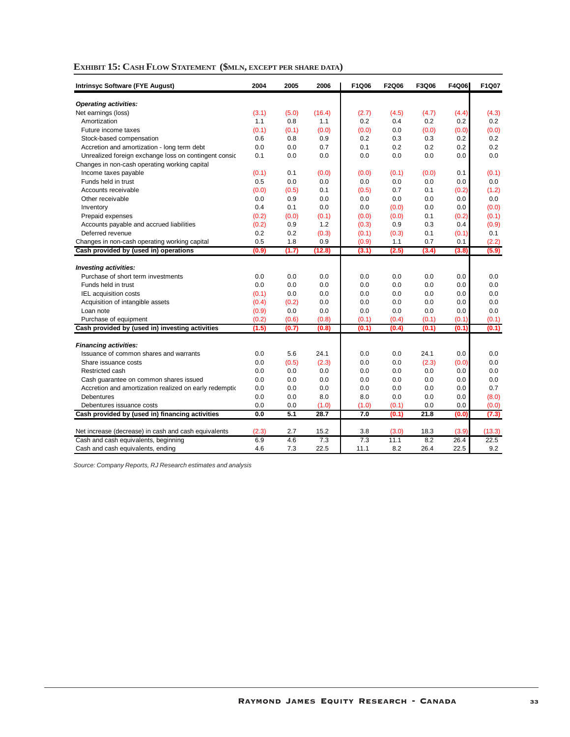| EXHIBIT 15: CASH FLOW STATEMENT (\$MLN, EXCEPT PER SHARE DATA) |  |
|----------------------------------------------------------------|--|
|----------------------------------------------------------------|--|

| <b>Intrinsyc Software (FYE August)</b>                                      | 2004       | 2005         | 2006   | F1Q06        | F2Q06        | F3Q06 | F4Q06        | F1Q07  |
|-----------------------------------------------------------------------------|------------|--------------|--------|--------------|--------------|-------|--------------|--------|
| <b>Operating activities:</b>                                                |            |              |        |              |              |       |              |        |
| Net earnings (loss)                                                         | (3.1)      | (5.0)        | (16.4) | (2.7)        | (4.5)        | (4.7) | (4.4)        | (4.3)  |
| Amortization                                                                | 1.1        | 0.8          | 1.1    | 0.2          | 0.4          | 0.2   | 0.2          | 0.2    |
| Future income taxes                                                         | (0.1)      | (0.1)        | (0.0)  | (0.0)        | 0.0          | (0.0) | (0.0)        | (0.0)  |
| Stock-based compensation                                                    | 0.6        | 0.8          | 0.9    | 0.2          | 0.3          | 0.3   | 0.2          | 0.2    |
| Accretion and amortization - long term debt                                 | 0.0        | 0.0          | 0.7    | 0.1          | 0.2          | 0.2   | 0.2          | 0.2    |
| Unrealized foreign exchange loss on contingent consic                       | 0.1        | 0.0          | 0.0    | 0.0          | 0.0          | 0.0   | 0.0          | 0.0    |
| Changes in non-cash operating working capital                               |            |              |        |              |              |       |              |        |
| Income taxes payable                                                        | (0.1)      | 0.1          | (0.0)  | (0.0)        | (0.1)        | (0.0) | 0.1          | (0.1)  |
| Funds held in trust                                                         | 0.5        | 0.0          | 0.0    | 0.0          | 0.0          | 0.0   | 0.0          | 0.0    |
| Accounts receivable                                                         | (0.0)      | (0.5)        | 0.1    | (0.5)        | 0.7          | 0.1   | (0.2)        | (1.2)  |
| Other receivable                                                            | 0.0        | 0.9          | 0.0    | 0.0          | 0.0          | 0.0   | 0.0          | 0.0    |
| Inventory                                                                   | 0.4        | 0.1          | 0.0    | 0.0          | (0.0)        | 0.0   | 0.0          | (0.0)  |
| Prepaid expenses                                                            | (0.2)      | (0.0)        | (0.1)  | (0.0)        | (0.0)        | 0.1   | (0.2)        | (0.1)  |
| Accounts payable and accrued liabilities                                    | (0.2)      | 0.9          | 1.2    | (0.3)        | 0.9          | 0.3   | 0.4          | (0.9)  |
| Deferred revenue                                                            | 0.2        | 0.2          | (0.3)  | (0.1)        | (0.3)        | 0.1   | (0.1)        | 0.1    |
| Changes in non-cash operating working capital                               | 0.5        | 1.8          | 0.9    | (0.9)        | 1.1          | 0.7   | 0.1          | (2.2)  |
| Cash provided by (used in) operations                                       | (0.9)      | (1.7)        | (12.8) | (3.1)        | (2.5)        | (3.4) | (3.8)        | (5.9)  |
|                                                                             |            |              |        |              |              |       |              |        |
| <b>Investing activities:</b>                                                |            |              |        |              |              |       |              |        |
| Purchase of short term investments                                          | 0.0        | 0.0          | 0.0    | 0.0          | 0.0          | 0.0   | 0.0          | 0.0    |
| Funds held in trust                                                         | 0.0        | 0.0          | 0.0    | 0.0          | 0.0          | 0.0   | 0.0          | 0.0    |
| <b>IEL</b> acquisition costs                                                | (0.1)      | 0.0          | 0.0    | 0.0          | 0.0          | 0.0   | 0.0          | 0.0    |
| Acquisition of intangible assets                                            | (0.4)      | (0.2)        | 0.0    | 0.0          | 0.0          | 0.0   | 0.0          | 0.0    |
| Loan note                                                                   | (0.9)      | 0.0          | 0.0    | 0.0          | 0.0          | 0.0   | 0.0          | 0.0    |
| Purchase of equipment                                                       | (0.2)      | (0.6)        | (0.8)  | (0.1)        | (0.4)        | (0.1) | (0.1)        | (0.1)  |
| Cash provided by (used in) investing activities                             | (1.5)      | (0.7)        | (0.8)  | (0.1)        | (0.4)        | (0.1) | (0.1)        | (0.1)  |
| <b>Financing activities:</b>                                                |            |              |        |              |              |       |              |        |
| Issuance of common shares and warrants                                      | 0.0        | 5.6          | 24.1   | 0.0          | 0.0          | 24.1  | 0.0          | 0.0    |
| Share issuance costs                                                        |            |              | (2.3)  |              |              | (2.3) |              | 0.0    |
| Restricted cash                                                             | 0.0<br>0.0 | (0.5)<br>0.0 | 0.0    | 0.0<br>0.0   | 0.0<br>0.0   | 0.0   | (0.0)<br>0.0 | 0.0    |
|                                                                             | 0.0        | 0.0          | 0.0    | 0.0          | 0.0          | 0.0   | 0.0          | 0.0    |
| Cash guarantee on common shares issued                                      | 0.0        | 0.0          | 0.0    | 0.0          | 0.0          | 0.0   | 0.0          | 0.7    |
| Accretion and amortization realized on early redemptic<br><b>Debentures</b> | 0.0        |              | 8.0    | 8.0          |              | 0.0   | 0.0          | (8.0)  |
| Debentures issuance costs                                                   | 0.0        | 0.0<br>0.0   | (1.0)  |              | 0.0<br>(0.1) | 0.0   | 0.0          | (0.0)  |
|                                                                             | 0.0        | 5.1          | 28.7   | (1.0)<br>7.0 | (0.1)        | 21.8  | (0.0)        |        |
| Cash provided by (used in) financing activities                             |            |              |        |              |              |       |              | (7.3)  |
| Net increase (decrease) in cash and cash equivalents                        | (2.3)      | 2.7          | 15.2   | 3.8          | (3.0)        | 18.3  | (3.9)        | (13.3) |
| Cash and cash equivalents, beginning                                        | 6.9        | 4.6          | 7.3    | 7.3          | 11.1         | 8.2   | 26.4         | 22.5   |
| Cash and cash equivalents, ending                                           | 4.6        | 7.3          | 22.5   | 11.1         | 8.2          | 26.4  | 22.5         | 9.2    |

*Source: Company Reports, RJ Research estimates and analysis*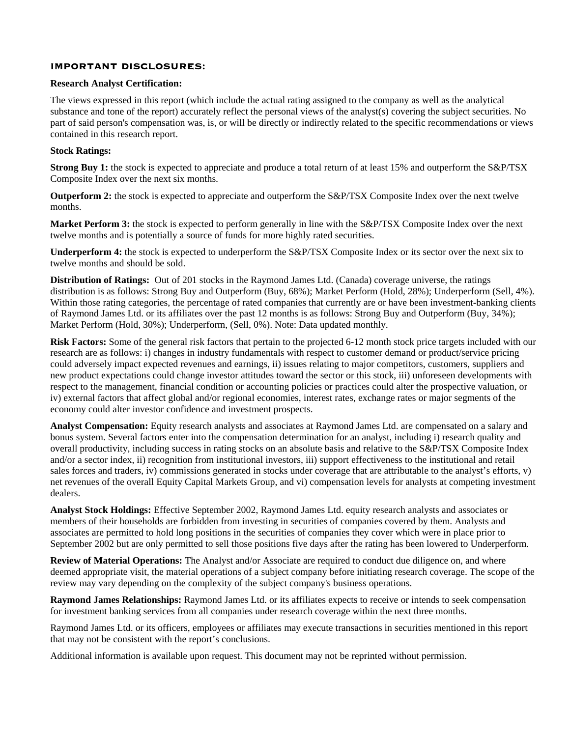## IMPORTANT DISCLOSURES:

#### **Research Analyst Certification:**

The views expressed in this report (which include the actual rating assigned to the company as well as the analytical substance and tone of the report) accurately reflect the personal views of the analyst(s) covering the subject securities. No part of said person's compensation was, is, or will be directly or indirectly related to the specific recommendations or views contained in this research report.

#### **Stock Ratings:**

**Strong Buy 1:** the stock is expected to appreciate and produce a total return of at least 15% and outperform the S&P/TSX Composite Index over the next six months.

**Outperform 2:** the stock is expected to appreciate and outperform the S&P/TSX Composite Index over the next twelve months.

**Market Perform 3:** the stock is expected to perform generally in line with the S&P/TSX Composite Index over the next twelve months and is potentially a source of funds for more highly rated securities.

**Underperform 4:** the stock is expected to underperform the S&P/TSX Composite Index or its sector over the next six to twelve months and should be sold.

**Distribution of Ratings:** Out of 201 stocks in the Raymond James Ltd. (Canada) coverage universe, the ratings distribution is as follows: Strong Buy and Outperform (Buy, 68%); Market Perform (Hold, 28%); Underperform (Sell, 4%). Within those rating categories, the percentage of rated companies that currently are or have been investment-banking clients of Raymond James Ltd. or its affiliates over the past 12 months is as follows: Strong Buy and Outperform (Buy, 34%); Market Perform (Hold, 30%); Underperform, (Sell, 0%). Note: Data updated monthly.

**Risk Factors:** Some of the general risk factors that pertain to the projected 6-12 month stock price targets included with our research are as follows: i) changes in industry fundamentals with respect to customer demand or product/service pricing could adversely impact expected revenues and earnings, ii) issues relating to major competitors, customers, suppliers and new product expectations could change investor attitudes toward the sector or this stock, iii) unforeseen developments with respect to the management, financial condition or accounting policies or practices could alter the prospective valuation, or iv) external factors that affect global and/or regional economies, interest rates, exchange rates or major segments of the economy could alter investor confidence and investment prospects.

**Analyst Compensation:** Equity research analysts and associates at Raymond James Ltd. are compensated on a salary and bonus system. Several factors enter into the compensation determination for an analyst, including i) research quality and overall productivity, including success in rating stocks on an absolute basis and relative to the S&P/TSX Composite Index and/or a sector index, ii) recognition from institutional investors, iii) support effectiveness to the institutional and retail sales forces and traders, iv) commissions generated in stocks under coverage that are attributable to the analyst's efforts, v) net revenues of the overall Equity Capital Markets Group, and vi) compensation levels for analysts at competing investment dealers.

**Analyst Stock Holdings:** Effective September 2002, Raymond James Ltd. equity research analysts and associates or members of their households are forbidden from investing in securities of companies covered by them. Analysts and associates are permitted to hold long positions in the securities of companies they cover which were in place prior to September 2002 but are only permitted to sell those positions five days after the rating has been lowered to Underperform.

**Review of Material Operations:** The Analyst and/or Associate are required to conduct due diligence on, and where deemed appropriate visit, the material operations of a subject company before initiating research coverage. The scope of the review may vary depending on the complexity of the subject company's business operations.

**Raymond James Relationships:** Raymond James Ltd. or its affiliates expects to receive or intends to seek compensation for investment banking services from all companies under research coverage within the next three months.

Raymond James Ltd. or its officers, employees or affiliates may execute transactions in securities mentioned in this report that may not be consistent with the report's conclusions.

Additional information is available upon request. This document may not be reprinted without permission.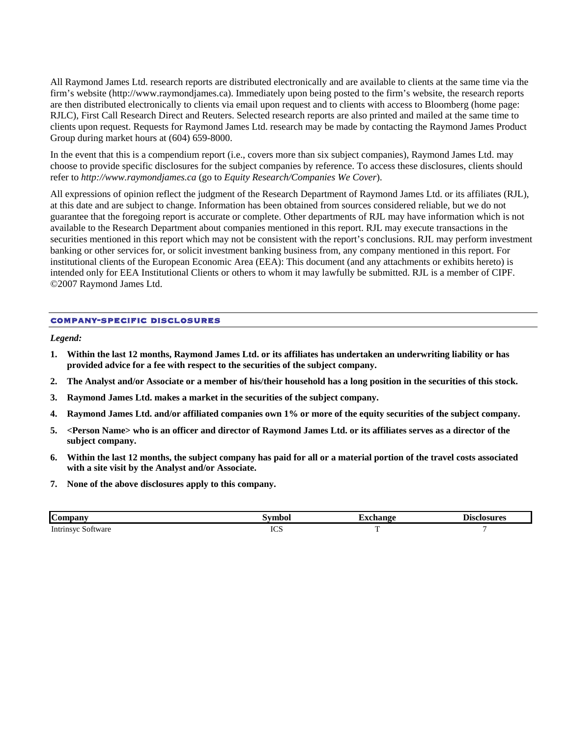All Raymond James Ltd. research reports are distributed electronically and are available to clients at the same time via the firm's website (http://www.raymondjames.ca). Immediately upon being posted to the firm's website, the research reports are then distributed electronically to clients via email upon request and to clients with access to Bloomberg (home page: RJLC), First Call Research Direct and Reuters. Selected research reports are also printed and mailed at the same time to clients upon request. Requests for Raymond James Ltd. research may be made by contacting the Raymond James Product Group during market hours at (604) 659-8000.

In the event that this is a compendium report (i.e., covers more than six subject companies), Raymond James Ltd. may choose to provide specific disclosures for the subject companies by reference. To access these disclosures, clients should refer to *http://www.raymondjames.ca* (go to *Equity Research/Companies We Cover*).

All expressions of opinion reflect the judgment of the Research Department of Raymond James Ltd. or its affiliates (RJL), at this date and are subject to change. Information has been obtained from sources considered reliable, but we do not guarantee that the foregoing report is accurate or complete. Other departments of RJL may have information which is not available to the Research Department about companies mentioned in this report. RJL may execute transactions in the securities mentioned in this report which may not be consistent with the report's conclusions. RJL may perform investment banking or other services for, or solicit investment banking business from, any company mentioned in this report. For institutional clients of the European Economic Area (EEA): This document (and any attachments or exhibits hereto) is intended only for EEA Institutional Clients or others to whom it may lawfully be submitted. RJL is a member of CIPF. ©2007 Raymond James Ltd.

#### company-specific disclosures

*Legend:* 

- **1. Within the last 12 months, Raymond James Ltd. or its affiliates has undertaken an underwriting liability or has provided advice for a fee with respect to the securities of the subject company.**
- **2. The Analyst and/or Associate or a member of his/their household has a long position in the securities of this stock.**
- **3. Raymond James Ltd. makes a market in the securities of the subject company.**
- **4. Raymond James Ltd. and/or affiliated companies own 1% or more of the equity securities of the subject company.**
- **5. <Person Name> who is an officer and director of Raymond James Ltd. or its affiliates serves as a director of the subject company.**
- **6. Within the last 12 months, the subject company has paid for all or a material portion of the travel costs associated with a site visit by the Analyst and/or Associate.**
- **7. None of the above disclosures apply to this company.**

| ıС<br>Companv                              |            | 10naa | Disclosures |
|--------------------------------------------|------------|-------|-------------|
| Intrinsy<br>ottware<br>$\mathcal{S}^{(1)}$ | <b>ICS</b> | -     |             |